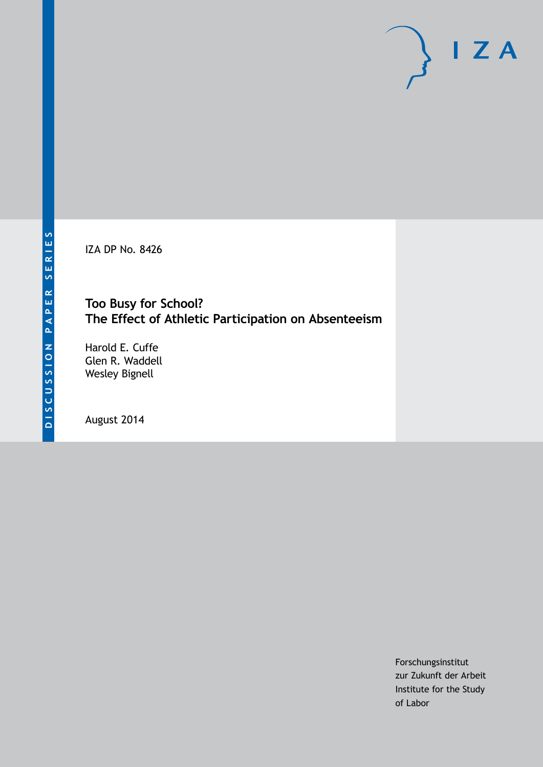IZA DP No. 8426

# **Too Busy for School? The Effect of Athletic Participation on Absenteeism**

Harold E. Cuffe Glen R. Waddell Wesley Bignell

August 2014

Forschungsinstitut zur Zukunft der Arbeit Institute for the Study of Labor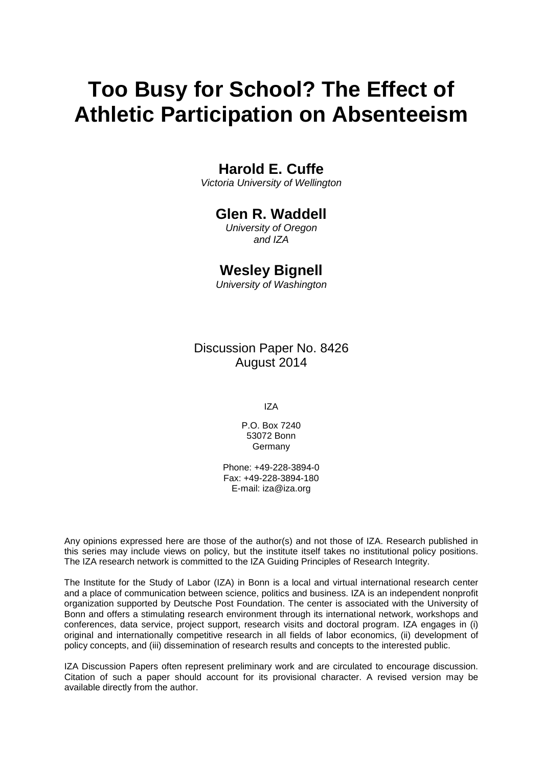# **Too Busy for School? The Effect of Athletic Participation on Absenteeism**

# **Harold E. Cuffe**

*Victoria University of Wellington*

# **Glen R. Waddell**

*University of Oregon and IZA*

# **Wesley Bignell**

*University of Washington*

Discussion Paper No. 8426 August 2014

IZA

P.O. Box 7240 53072 Bonn Germany

Phone: +49-228-3894-0 Fax: +49-228-3894-180 E-mail: [iza@iza.org](mailto:iza@iza.org)

Any opinions expressed here are those of the author(s) and not those of IZA. Research published in this series may include views on policy, but the institute itself takes no institutional policy positions. The IZA research network is committed to the IZA Guiding Principles of Research Integrity.

The Institute for the Study of Labor (IZA) in Bonn is a local and virtual international research center and a place of communication between science, politics and business. IZA is an independent nonprofit organization supported by Deutsche Post Foundation. The center is associated with the University of Bonn and offers a stimulating research environment through its international network, workshops and conferences, data service, project support, research visits and doctoral program. IZA engages in (i) original and internationally competitive research in all fields of labor economics, (ii) development of policy concepts, and (iii) dissemination of research results and concepts to the interested public.

<span id="page-1-0"></span>IZA Discussion Papers often represent preliminary work and are circulated to encourage discussion. Citation of such a paper should account for its provisional character. A revised version may be available directly from the author.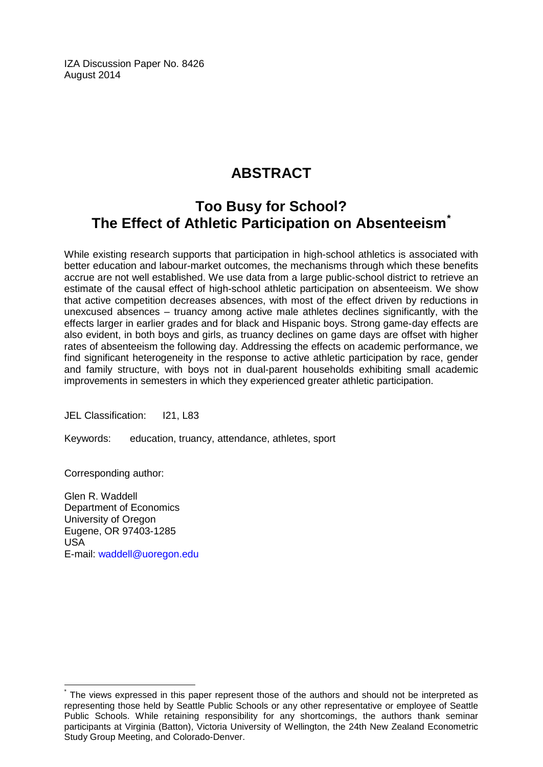IZA Discussion Paper No. 8426 August 2014

# **ABSTRACT**

# **Too Busy for School? The Effect of Athletic Participation on Absenteeism[\\*](#page-1-0)**

While existing research supports that participation in high-school athletics is associated with better education and labour-market outcomes, the mechanisms through which these benefits accrue are not well established. We use data from a large public-school district to retrieve an estimate of the causal effect of high-school athletic participation on absenteeism. We show that active competition decreases absences, with most of the effect driven by reductions in unexcused absences – truancy among active male athletes declines significantly, with the effects larger in earlier grades and for black and Hispanic boys. Strong game-day effects are also evident, in both boys and girls, as truancy declines on game days are offset with higher rates of absenteeism the following day. Addressing the effects on academic performance, we find significant heterogeneity in the response to active athletic participation by race, gender and family structure, with boys not in dual-parent households exhibiting small academic improvements in semesters in which they experienced greater athletic participation.

JEL Classification: I21, L83

Keywords: education, truancy, attendance, athletes, sport

Corresponding author:

Glen R. Waddell Department of Economics University of Oregon Eugene, OR 97403-1285 USA E-mail: [waddell@uoregon.edu](mailto:waddell@uoregon.edu)

The views expressed in this paper represent those of the authors and should not be interpreted as representing those held by Seattle Public Schools or any other representative or employee of Seattle Public Schools. While retaining responsibility for any shortcomings, the authors thank seminar participants at Virginia (Batton), Victoria University of Wellington, the 24th New Zealand Econometric Study Group Meeting, and Colorado-Denver.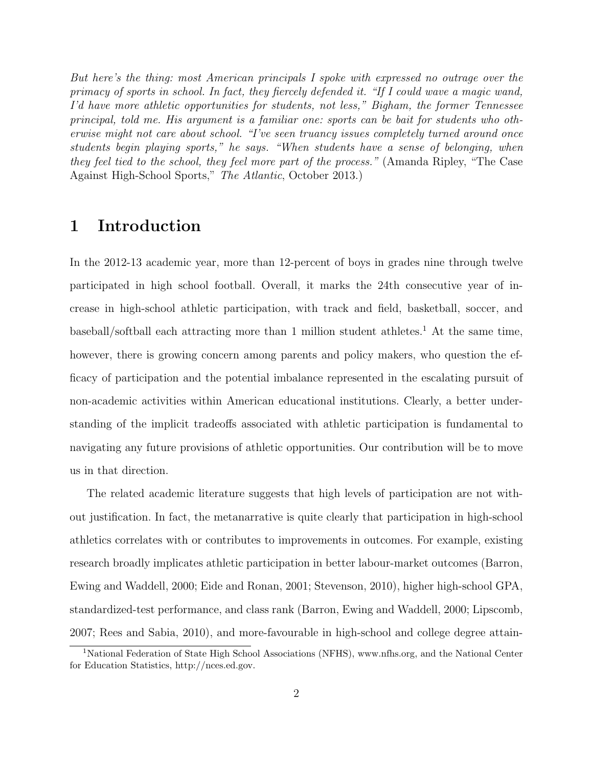But here's the thing: most American principals I spoke with expressed no outrage over the primacy of sports in school. In fact, they fiercely defended it. "If I could wave a magic wand, I'd have more athletic opportunities for students, not less," Bigham, the former Tennessee principal, told me. His argument is a familiar one: sports can be bait for students who otherwise might not care about school. "I've seen truancy issues completely turned around once students begin playing sports," he says. "When students have a sense of belonging, when they feel tied to the school, they feel more part of the process." (Amanda Ripley, "The Case Against High-School Sports," The Atlantic, October 2013.)

# 1 Introduction

In the 2012-13 academic year, more than 12-percent of boys in grades nine through twelve participated in high school football. Overall, it marks the 24th consecutive year of increase in high-school athletic participation, with track and field, basketball, soccer, and baseball/softball each attracting more than [1](#page-3-0) million student athletes.<sup>1</sup> At the same time, however, there is growing concern among parents and policy makers, who question the efficacy of participation and the potential imbalance represented in the escalating pursuit of non-academic activities within American educational institutions. Clearly, a better understanding of the implicit tradeoffs associated with athletic participation is fundamental to navigating any future provisions of athletic opportunities. Our contribution will be to move us in that direction.

The related academic literature suggests that high levels of participation are not without justification. In fact, the metanarrative is quite clearly that participation in high-school athletics correlates with or contributes to improvements in outcomes. For example, existing research broadly implicates athletic participation in better labour-market outcomes [\(Barron,](#page-26-0) [Ewing and Waddell,](#page-26-0) [2000;](#page-26-0) [Eide and Ronan,](#page-27-0) [2001;](#page-27-0) [Stevenson,](#page-29-0) [2010\)](#page-29-0), higher high-school GPA, standardized-test performance, and class rank [\(Barron, Ewing and Waddell,](#page-26-0) [2000;](#page-26-0) [Lipscomb,](#page-27-1) [2007;](#page-27-1) [Rees and Sabia,](#page-28-0) [2010\)](#page-28-0), and more-favourable in high-school and college degree attain-

<span id="page-3-0"></span><sup>1</sup>National Federation of State High School Associations (NFHS), www.nfhs.org, and the National Center for Education Statistics, http://nces.ed.gov.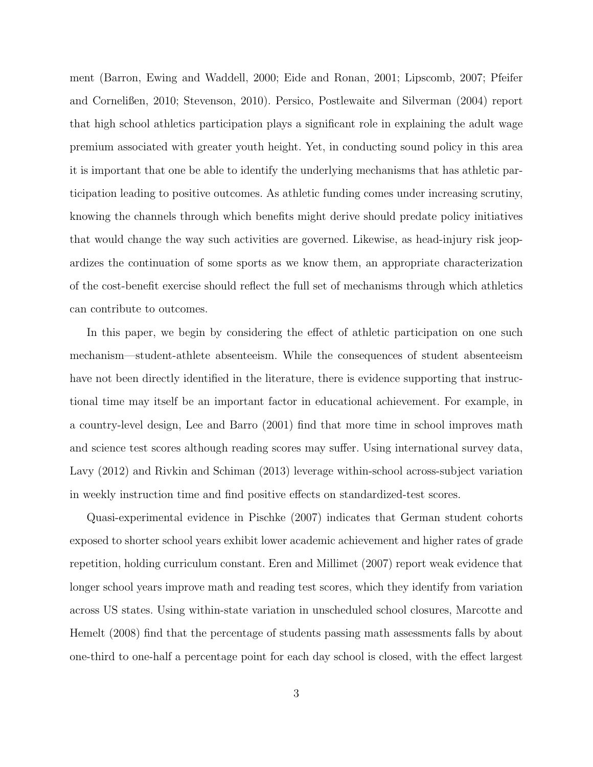ment [\(Barron, Ewing and Waddell,](#page-26-0) [2000;](#page-26-0) [Eide and Ronan,](#page-27-0) [2001;](#page-27-0) [Lipscomb,](#page-27-1) [2007;](#page-27-1) [Pfeifer](#page-28-1) [and Cornelißen,](#page-28-1) [2010;](#page-28-1) [Stevenson,](#page-29-0) [2010\)](#page-29-0). [Persico, Postlewaite and Silverman](#page-28-2) [\(2004\)](#page-28-2) report that high school athletics participation plays a significant role in explaining the adult wage premium associated with greater youth height. Yet, in conducting sound policy in this area it is important that one be able to identify the underlying mechanisms that has athletic participation leading to positive outcomes. As athletic funding comes under increasing scrutiny, knowing the channels through which benefits might derive should predate policy initiatives that would change the way such activities are governed. Likewise, as head-injury risk jeopardizes the continuation of some sports as we know them, an appropriate characterization of the cost-benefit exercise should reflect the full set of mechanisms through which athletics can contribute to outcomes.

In this paper, we begin by considering the effect of athletic participation on one such mechanism—student-athlete absenteeism. While the consequences of student absenteeism have not been directly identified in the literature, there is evidence supporting that instructional time may itself be an important factor in educational achievement. For example, in a country-level design, [Lee and Barro](#page-27-2) [\(2001\)](#page-27-2) find that more time in school improves math and science test scores although reading scores may suffer. Using international survey data, [Lavy](#page-27-3) [\(2012\)](#page-27-3) and [Rivkin and Schiman](#page-28-3) [\(2013\)](#page-28-3) leverage within-school across-subject variation in weekly instruction time and find positive effects on standardized-test scores.

Quasi-experimental evidence in [Pischke](#page-28-4) [\(2007\)](#page-28-4) indicates that German student cohorts exposed to shorter school years exhibit lower academic achievement and higher rates of grade repetition, holding curriculum constant. [Eren and Millimet](#page-27-4) [\(2007\)](#page-27-4) report weak evidence that longer school years improve math and reading test scores, which they identify from variation across US states. Using within-state variation in unscheduled school closures, [Marcotte and](#page-28-5) [Hemelt](#page-28-5) [\(2008\)](#page-28-5) find that the percentage of students passing math assessments falls by about one-third to one-half a percentage point for each day school is closed, with the effect largest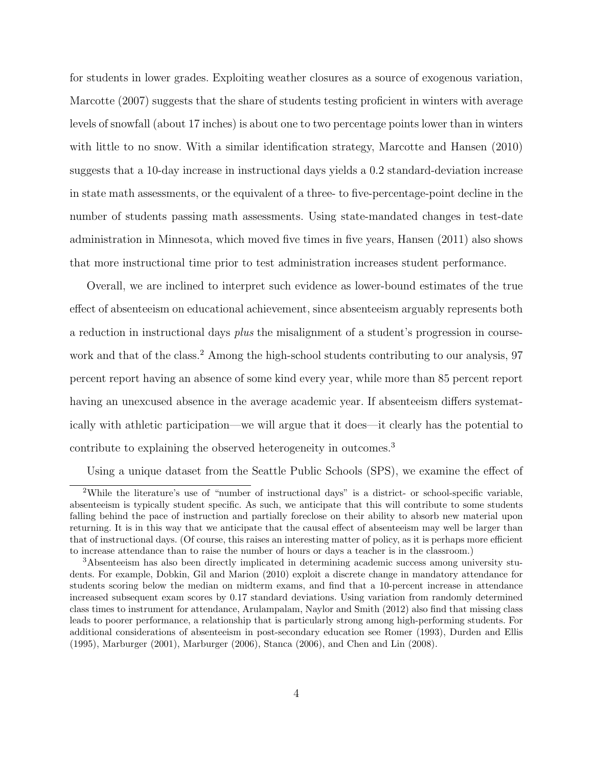for students in lower grades. Exploiting weather closures as a source of exogenous variation, [Marcotte](#page-28-6) [\(2007\)](#page-28-6) suggests that the share of students testing proficient in winters with average levels of snowfall (about 17 inches) is about one to two percentage points lower than in winters with little to no snow. With a similar identification strategy, [Marcotte and Hansen](#page-28-7) [\(2010\)](#page-28-7) suggests that a 10-day increase in instructional days yields a 0.2 standard-deviation increase in state math assessments, or the equivalent of a three- to five-percentage-point decline in the number of students passing math assessments. Using state-mandated changes in test-date administration in Minnesota, which moved five times in five years, [Hansen](#page-27-5) [\(2011\)](#page-27-5) also shows that more instructional time prior to test administration increases student performance.

Overall, we are inclined to interpret such evidence as lower-bound estimates of the true effect of absenteeism on educational achievement, since absenteeism arguably represents both a reduction in instructional days plus the misalignment of a student's progression in course-work and that of the class.<sup>[2](#page-5-0)</sup> Among the high-school students contributing to our analysis, 97 percent report having an absence of some kind every year, while more than 85 percent report having an unexcused absence in the average academic year. If absenteeism differs systematically with athletic participation—we will argue that it does—it clearly has the potential to contribute to explaining the observed heterogeneity in outcomes.<sup>[3](#page-5-1)</sup>

<span id="page-5-0"></span>Using a unique dataset from the Seattle Public Schools (SPS), we examine the effect of

<sup>2</sup>While the literature's use of "number of instructional days" is a district- or school-specific variable, absenteeism is typically student specific. As such, we anticipate that this will contribute to some students falling behind the pace of instruction and partially foreclose on their ability to absorb new material upon returning. It is in this way that we anticipate that the causal effect of absenteeism may well be larger than that of instructional days. (Of course, this raises an interesting matter of policy, as it is perhaps more efficient to increase attendance than to raise the number of hours or days a teacher is in the classroom.)

<span id="page-5-1"></span><sup>3</sup>Absenteeism has also been directly implicated in determining academic success among university students. For example, [Dobkin, Gil and Marion](#page-27-6) [\(2010\)](#page-27-6) exploit a discrete change in mandatory attendance for students scoring below the median on midterm exams, and find that a 10-percent increase in attendance increased subsequent exam scores by 0.17 standard deviations. Using variation from randomly determined class times to instrument for attendance, [Arulampalam, Naylor and Smith](#page-26-1) [\(2012\)](#page-26-1) also find that missing class leads to poorer performance, a relationship that is particularly strong among high-performing students. For additional considerations of absenteeism in post-secondary education see [Romer](#page-28-8) [\(1993\)](#page-28-8), [Durden and Ellis](#page-27-7) [\(1995\)](#page-27-7), [Marburger](#page-27-8) [\(2001\)](#page-27-8), [Marburger](#page-28-9) [\(2006\)](#page-28-9), [Stanca](#page-29-1) [\(2006\)](#page-29-1), and [Chen and Lin](#page-26-2) [\(2008\)](#page-26-2).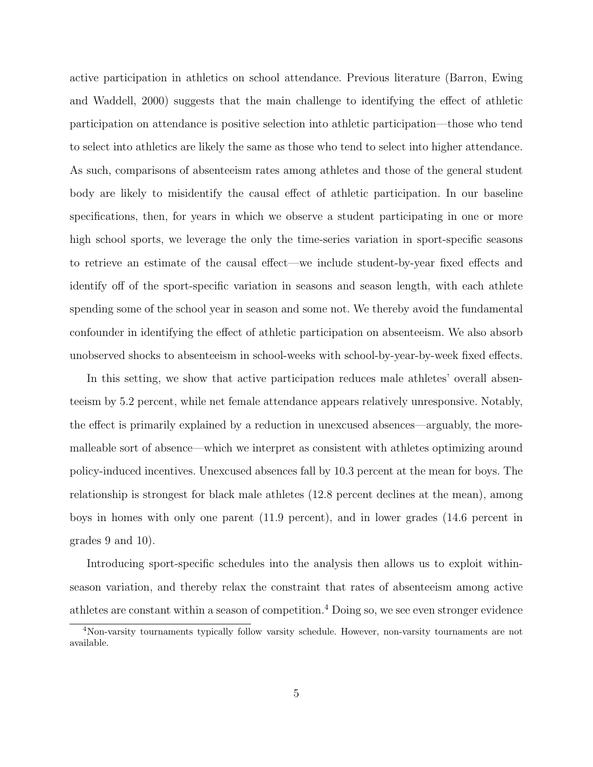active participation in athletics on school attendance. Previous literature [\(Barron, Ewing](#page-26-0) [and Waddell,](#page-26-0) [2000\)](#page-26-0) suggests that the main challenge to identifying the effect of athletic participation on attendance is positive selection into athletic participation—those who tend to select into athletics are likely the same as those who tend to select into higher attendance. As such, comparisons of absenteeism rates among athletes and those of the general student body are likely to misidentify the causal effect of athletic participation. In our baseline specifications, then, for years in which we observe a student participating in one or more high school sports, we leverage the only the time-series variation in sport-specific seasons to retrieve an estimate of the causal effect—we include student-by-year fixed effects and identify off of the sport-specific variation in seasons and season length, with each athlete spending some of the school year in season and some not. We thereby avoid the fundamental confounder in identifying the effect of athletic participation on absenteeism. We also absorb unobserved shocks to absenteeism in school-weeks with school-by-year-by-week fixed effects.

In this setting, we show that active participation reduces male athletes' overall absenteeism by 5.2 percent, while net female attendance appears relatively unresponsive. Notably, the effect is primarily explained by a reduction in unexcused absences—arguably, the moremalleable sort of absence—which we interpret as consistent with athletes optimizing around policy-induced incentives. Unexcused absences fall by 10.3 percent at the mean for boys. The relationship is strongest for black male athletes (12.8 percent declines at the mean), among boys in homes with only one parent (11.9 percent), and in lower grades (14.6 percent in grades 9 and 10).

Introducing sport-specific schedules into the analysis then allows us to exploit withinseason variation, and thereby relax the constraint that rates of absenteeism among active athletes are constant within a season of competition.[4](#page-6-0) Doing so, we see even stronger evidence

<span id="page-6-0"></span><sup>4</sup>Non-varsity tournaments typically follow varsity schedule. However, non-varsity tournaments are not available.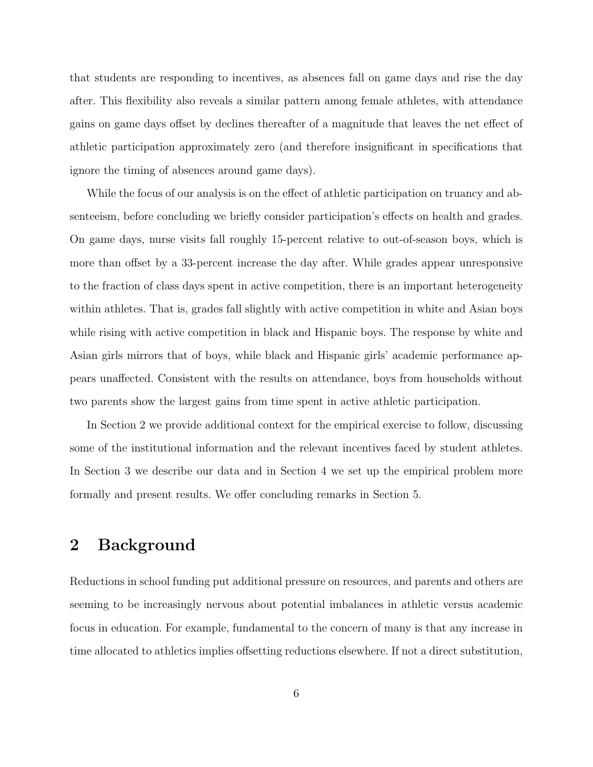that students are responding to incentives, as absences fall on game days and rise the day after. This flexibility also reveals a similar pattern among female athletes, with attendance gains on game days offset by declines thereafter of a magnitude that leaves the net effect of athletic participation approximately zero (and therefore insignificant in specifications that ignore the timing of absences around game days).

While the focus of our analysis is on the effect of athletic participation on truancy and absenteeism, before concluding we briefly consider participation's effects on health and grades. On game days, nurse visits fall roughly 15-percent relative to out-of-season boys, which is more than offset by a 33-percent increase the day after. While grades appear unresponsive to the fraction of class days spent in active competition, there is an important heterogeneity within athletes. That is, grades fall slightly with active competition in white and Asian boys while rising with active competition in black and Hispanic boys. The response by white and Asian girls mirrors that of boys, while black and Hispanic girls' academic performance appears unaffected. Consistent with the results on attendance, boys from households without two parents show the largest gains from time spent in active athletic participation.

In Section [2](#page-7-0) we provide additional context for the empirical exercise to follow, discussing some of the institutional information and the relevant incentives faced by student athletes. In Section [3](#page-9-0) we describe our data and in Section [4](#page-13-0) we set up the empirical problem more formally and present results. We offer concluding remarks in Section [5.](#page-25-0)

# <span id="page-7-0"></span>2 Background

Reductions in school funding put additional pressure on resources, and parents and others are seeming to be increasingly nervous about potential imbalances in athletic versus academic focus in education. For example, fundamental to the concern of many is that any increase in time allocated to athletics implies offsetting reductions elsewhere. If not a direct substitution,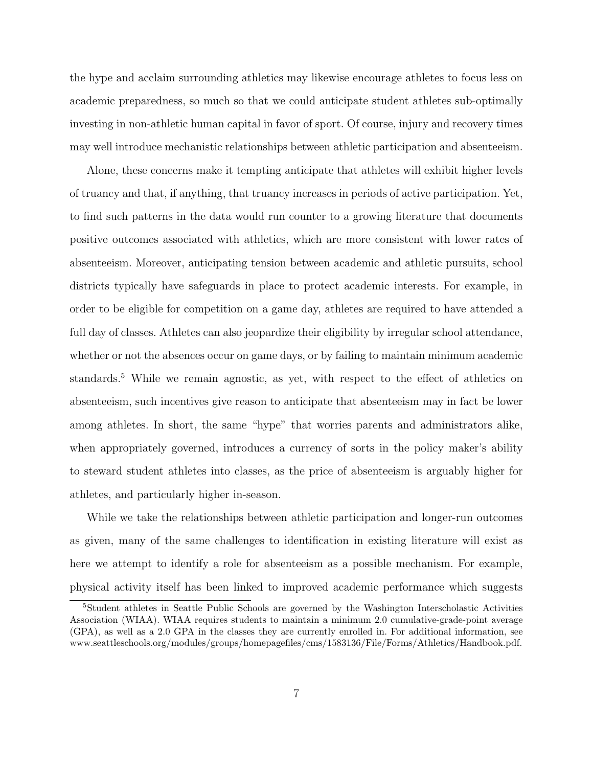the hype and acclaim surrounding athletics may likewise encourage athletes to focus less on academic preparedness, so much so that we could anticipate student athletes sub-optimally investing in non-athletic human capital in favor of sport. Of course, injury and recovery times may well introduce mechanistic relationships between athletic participation and absenteeism.

Alone, these concerns make it tempting anticipate that athletes will exhibit higher levels of truancy and that, if anything, that truancy increases in periods of active participation. Yet, to find such patterns in the data would run counter to a growing literature that documents positive outcomes associated with athletics, which are more consistent with lower rates of absenteeism. Moreover, anticipating tension between academic and athletic pursuits, school districts typically have safeguards in place to protect academic interests. For example, in order to be eligible for competition on a game day, athletes are required to have attended a full day of classes. Athletes can also jeopardize their eligibility by irregular school attendance, whether or not the absences occur on game days, or by failing to maintain minimum academic standards.<sup>[5](#page-8-0)</sup> While we remain agnostic, as yet, with respect to the effect of athletics on absenteeism, such incentives give reason to anticipate that absenteeism may in fact be lower among athletes. In short, the same "hype" that worries parents and administrators alike, when appropriately governed, introduces a currency of sorts in the policy maker's ability to steward student athletes into classes, as the price of absenteeism is arguably higher for athletes, and particularly higher in-season.

While we take the relationships between athletic participation and longer-run outcomes as given, many of the same challenges to identification in existing literature will exist as here we attempt to identify a role for absenteeism as a possible mechanism. For example, physical activity itself has been linked to improved academic performance which suggests

<span id="page-8-0"></span><sup>5</sup>Student athletes in Seattle Public Schools are governed by the Washington Interscholastic Activities Association (WIAA). WIAA requires students to maintain a minimum 2.0 cumulative-grade-point average (GPA), as well as a 2.0 GPA in the classes they are currently enrolled in. For additional information, see www.seattleschools.org/modules/groups/homepagefiles/cms/1583136/File/Forms/Athletics/Handbook.pdf.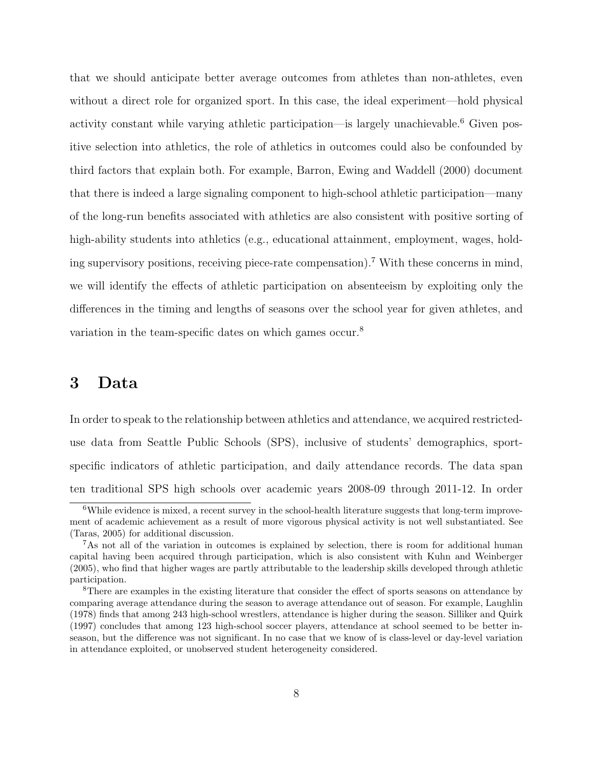that we should anticipate better average outcomes from athletes than non-athletes, even without a direct role for organized sport. In this case, the ideal experiment—hold physical activity constant while varying athletic participation—is largely unachievable.<sup>[6](#page-9-1)</sup> Given positive selection into athletics, the role of athletics in outcomes could also be confounded by third factors that explain both. For example, [Barron, Ewing and Waddell](#page-26-0) [\(2000\)](#page-26-0) document that there is indeed a large signaling component to high-school athletic participation—many of the long-run benefits associated with athletics are also consistent with positive sorting of high-ability students into athletics (e.g., educational attainment, employment, wages, holding supervisory positions, receiving piece-rate compensation).[7](#page-9-2) With these concerns in mind, we will identify the effects of athletic participation on absenteeism by exploiting only the differences in the timing and lengths of seasons over the school year for given athletes, and variation in the team-specific dates on which games occur.<sup>[8](#page-9-3)</sup>

### <span id="page-9-0"></span>3 Data

In order to speak to the relationship between athletics and attendance, we acquired restricteduse data from Seattle Public Schools (SPS), inclusive of students' demographics, sportspecific indicators of athletic participation, and daily attendance records. The data span ten traditional SPS high schools over academic years 2008-09 through 2011-12. In order

<span id="page-9-1"></span><sup>&</sup>lt;sup>6</sup>While evidence is mixed, a recent survey in the school-health literature suggests that long-term improvement of academic achievement as a result of more vigorous physical activity is not well substantiated. See [\(Taras,](#page-29-2) [2005\)](#page-29-2) for additional discussion.

<span id="page-9-2"></span><sup>7</sup>As not all of the variation in outcomes is explained by selection, there is room for additional human capital having been acquired through participation, which is also consistent with [Kuhn and Weinberger](#page-27-9) [\(2005\)](#page-27-9), who find that higher wages are partly attributable to the leadership skills developed through athletic participation.

<span id="page-9-3"></span><sup>8</sup>There are examples in the existing literature that consider the effect of sports seasons on attendance by comparing average attendance during the season to average attendance out of season. For example, [Laughlin](#page-27-10) [\(1978\)](#page-27-10) finds that among 243 high-school wrestlers, attendance is higher during the season. [Silliker and Quirk](#page-28-10) [\(1997\)](#page-28-10) concludes that among 123 high-school soccer players, attendance at school seemed to be better inseason, but the difference was not significant. In no case that we know of is class-level or day-level variation in attendance exploited, or unobserved student heterogeneity considered.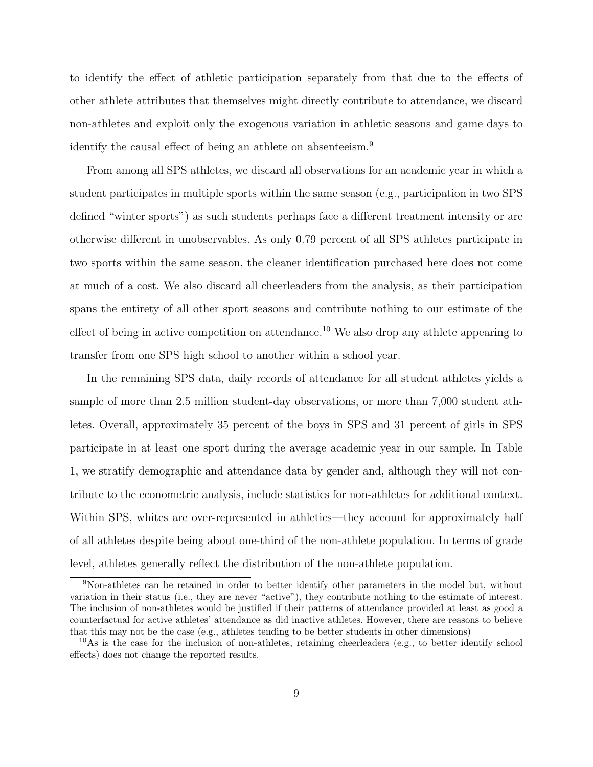to identify the effect of athletic participation separately from that due to the effects of other athlete attributes that themselves might directly contribute to attendance, we discard non-athletes and exploit only the exogenous variation in athletic seasons and game days to identify the causal effect of being an athlete on absenteeism.<sup>[9](#page-10-0)</sup>

From among all SPS athletes, we discard all observations for an academic year in which a student participates in multiple sports within the same season (e.g., participation in two SPS defined "winter sports") as such students perhaps face a different treatment intensity or are otherwise different in unobservables. As only 0.79 percent of all SPS athletes participate in two sports within the same season, the cleaner identification purchased here does not come at much of a cost. We also discard all cheerleaders from the analysis, as their participation spans the entirety of all other sport seasons and contribute nothing to our estimate of the effect of being in active competition on attendance.<sup>[10](#page-10-1)</sup> We also drop any athlete appearing to transfer from one SPS high school to another within a school year.

In the remaining SPS data, daily records of attendance for all student athletes yields a sample of more than 2.5 million student-day observations, or more than 7,000 student athletes. Overall, approximately 35 percent of the boys in SPS and 31 percent of girls in SPS participate in at least one sport during the average academic year in our sample. In Table [1,](#page-30-0) we stratify demographic and attendance data by gender and, although they will not contribute to the econometric analysis, include statistics for non-athletes for additional context. Within SPS, whites are over-represented in athletics—they account for approximately half of all athletes despite being about one-third of the non-athlete population. In terms of grade level, athletes generally reflect the distribution of the non-athlete population.

<span id="page-10-0"></span><sup>9</sup>Non-athletes can be retained in order to better identify other parameters in the model but, without variation in their status (i.e., they are never "active"), they contribute nothing to the estimate of interest. The inclusion of non-athletes would be justified if their patterns of attendance provided at least as good a counterfactual for active athletes' attendance as did inactive athletes. However, there are reasons to believe that this may not be the case (e.g., athletes tending to be better students in other dimensions)

<span id="page-10-1"></span> $10\text{As}$  is the case for the inclusion of non-athletes, retaining cheerleaders (e.g., to better identify school effects) does not change the reported results.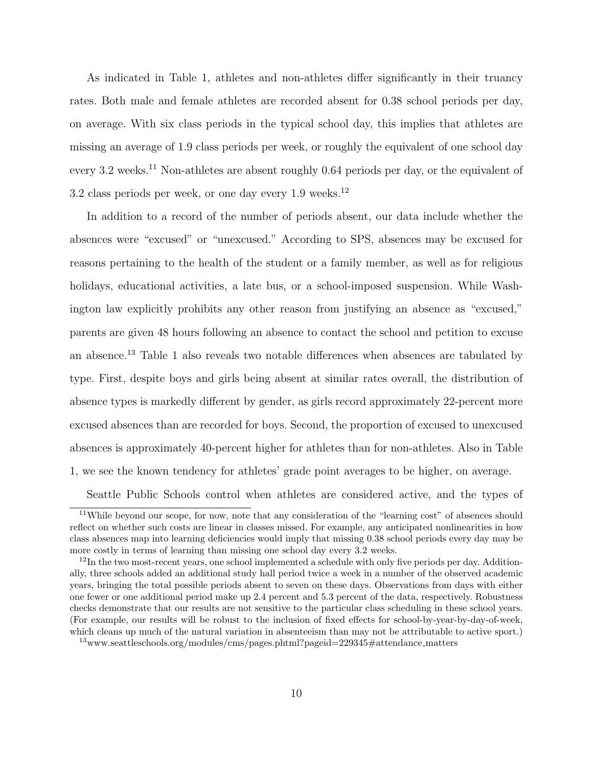As indicated in Table [1,](#page-30-0) athletes and non-athletes differ significantly in their truancy rates. Both male and female athletes are recorded absent for 0.38 school periods per day, on average. With six class periods in the typical school day, this implies that athletes are missing an average of 1.9 class periods per week, or roughly the equivalent of one school day every 3.2 weeks.<sup>[11](#page-11-0)</sup> Non-athletes are absent roughly 0.64 periods per day, or the equivalent of 3.2 class periods per week, or one day every 1.9 weeks.<sup>[12](#page-11-1)</sup>

In addition to a record of the number of periods absent, our data include whether the absences were "excused" or "unexcused." According to SPS, absences may be excused for reasons pertaining to the health of the student or a family member, as well as for religious holidays, educational activities, a late bus, or a school-imposed suspension. While Washington law explicitly prohibits any other reason from justifying an absence as "excused," parents are given 48 hours following an absence to contact the school and petition to excuse an absence.[13](#page-11-2) Table [1](#page-30-0) also reveals two notable differences when absences are tabulated by type. First, despite boys and girls being absent at similar rates overall, the distribution of absence types is markedly different by gender, as girls record approximately 22-percent more excused absences than are recorded for boys. Second, the proportion of excused to unexcused absences is approximately 40-percent higher for athletes than for non-athletes. Also in Table [1,](#page-30-0) we see the known tendency for athletes' grade point averages to be higher, on average.

<span id="page-11-0"></span>Seattle Public Schools control when athletes are considered active, and the types of

<sup>&</sup>lt;sup>11</sup>While beyond our scope, for now, note that any consideration of the "learning cost" of absences should reflect on whether such costs are linear in classes missed. For example, any anticipated nonlinearities in how class absences map into learning deficiencies would imply that missing 0.38 school periods every day may be more costly in terms of learning than missing one school day every 3.2 weeks.

<span id="page-11-1"></span> $12$ In the two most-recent years, one school implemented a schedule with only five periods per day. Additionally, three schools added an additional study hall period twice a week in a number of the observed academic years, bringing the total possible periods absent to seven on these days. Observations from days with either one fewer or one additional period make up 2.4 percent and 5.3 percent of the data, respectively. Robustness checks demonstrate that our results are not sensitive to the particular class scheduling in these school years. (For example, our results will be robust to the inclusion of fixed effects for school-by-year-by-day-of-week, which cleans up much of the natural variation in absenteeism than may not be attributable to active sport.)

<span id="page-11-2"></span><sup>&</sup>lt;sup>13</sup>www.seattleschools.org/modules/cms/pages.phtml?pageid=229345#attendance\_matters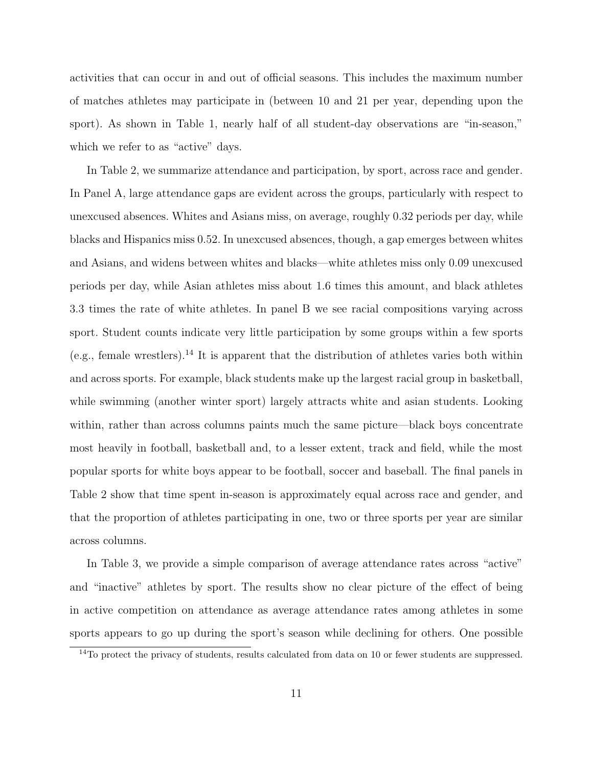activities that can occur in and out of official seasons. This includes the maximum number of matches athletes may participate in (between 10 and 21 per year, depending upon the sport). As shown in Table [1,](#page-30-0) nearly half of all student-day observations are "in-season," which we refer to as "active" days.

In Table [2,](#page-31-0) we summarize attendance and participation, by sport, across race and gender. In Panel A, large attendance gaps are evident across the groups, particularly with respect to unexcused absences. Whites and Asians miss, on average, roughly 0.32 periods per day, while blacks and Hispanics miss 0.52. In unexcused absences, though, a gap emerges between whites and Asians, and widens between whites and blacks—white athletes miss only 0.09 unexcused periods per day, while Asian athletes miss about 1.6 times this amount, and black athletes 3.3 times the rate of white athletes. In panel B we see racial compositions varying across sport. Student counts indicate very little participation by some groups within a few sports (e.g., female wrestlers).<sup>[14](#page-12-0)</sup> It is apparent that the distribution of athletes varies both within and across sports. For example, black students make up the largest racial group in basketball, while swimming (another winter sport) largely attracts white and asian students. Looking within, rather than across columns paints much the same picture—black boys concentrate most heavily in football, basketball and, to a lesser extent, track and field, while the most popular sports for white boys appear to be football, soccer and baseball. The final panels in Table [2](#page-31-0) show that time spent in-season is approximately equal across race and gender, and that the proportion of athletes participating in one, two or three sports per year are similar across columns.

In Table [3,](#page-32-0) we provide a simple comparison of average attendance rates across "active" and "inactive" athletes by sport. The results show no clear picture of the effect of being in active competition on attendance as average attendance rates among athletes in some sports appears to go up during the sport's season while declining for others. One possible

<span id="page-12-0"></span><sup>&</sup>lt;sup>14</sup>To protect the privacy of students, results calculated from data on 10 or fewer students are suppressed.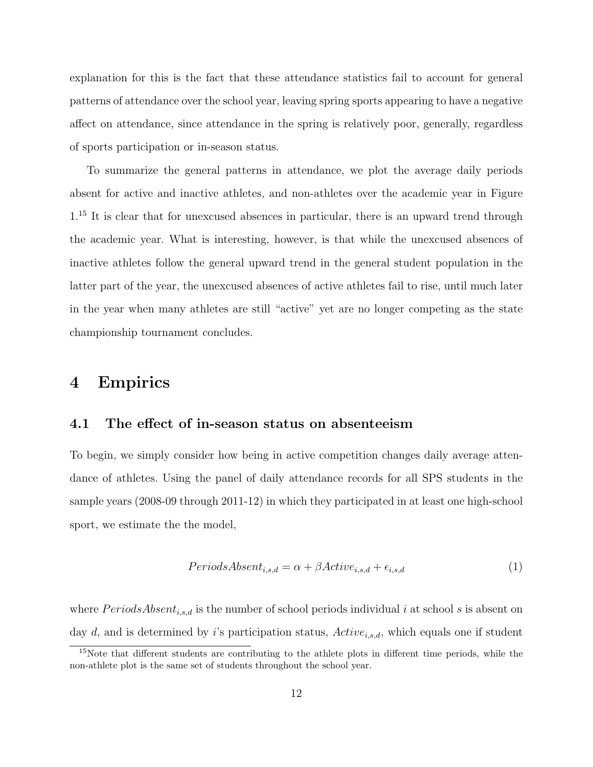explanation for this is the fact that these attendance statistics fail to account for general patterns of attendance over the school year, leaving spring sports appearing to have a negative affect on attendance, since attendance in the spring is relatively poor, generally, regardless of sports participation or in-season status.

To summarize the general patterns in attendance, we plot the average daily periods absent for active and inactive athletes, and non-athletes over the academic year in Figure  $1<sup>15</sup>$  $1<sup>15</sup>$  $1<sup>15</sup>$  It is clear that for unexcused absences in particular, there is an upward trend through the academic year. What is interesting, however, is that while the unexcused absences of inactive athletes follow the general upward trend in the general student population in the latter part of the year, the unexcused absences of active athletes fail to rise, until much later in the year when many athletes are still "active" yet are no longer competing as the state championship tournament concludes.

### <span id="page-13-0"></span>4 Empirics

#### 4.1 The effect of in-season status on absenteeism

To begin, we simply consider how being in active competition changes daily average attendance of athletes. Using the panel of daily attendance records for all SPS students in the sample years (2008-09 through 2011-12) in which they participated in at least one high-school sport, we estimate the the model,

<span id="page-13-2"></span>
$$
PeriodsAbsent_{i,s,d} = \alpha + \beta Active_{i,s,d} + \epsilon_{i,s,d}
$$
\n<sup>(1)</sup>

where  $PeriodsAbsent_{i,s,d}$  is the number of school periods individual i at school s is absent on day d, and is determined by i's participation status,  $Active_{i,s,d}$ , which equals one if student

<span id="page-13-1"></span><sup>15</sup>Note that different students are contributing to the athlete plots in different time periods, while the non-athlete plot is the same set of students throughout the school year.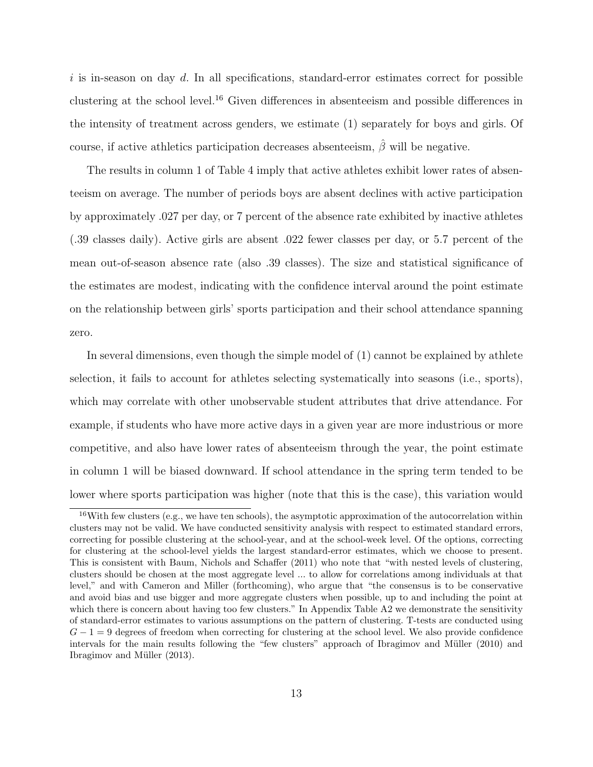$i$  is in-season on day d. In all specifications, standard-error estimates correct for possible clustering at the school level.[16](#page-14-0) Given differences in absenteeism and possible differences in the intensity of treatment across genders, we estimate [\(1\)](#page-13-2) separately for boys and girls. Of course, if active athletics participation decreases absenteeism,  $\hat{\beta}$  will be negative.

The results in column 1 of Table [4](#page-33-0) imply that active athletes exhibit lower rates of absenteeism on average. The number of periods boys are absent declines with active participation by approximately .027 per day, or 7 percent of the absence rate exhibited by inactive athletes (.39 classes daily). Active girls are absent .022 fewer classes per day, or 5.7 percent of the mean out-of-season absence rate (also .39 classes). The size and statistical significance of the estimates are modest, indicating with the confidence interval around the point estimate on the relationship between girls' sports participation and their school attendance spanning zero.

In several dimensions, even though the simple model of [\(1\)](#page-13-2) cannot be explained by athlete selection, it fails to account for athletes selecting systematically into seasons (i.e., sports), which may correlate with other unobservable student attributes that drive attendance. For example, if students who have more active days in a given year are more industrious or more competitive, and also have lower rates of absenteeism through the year, the point estimate in column 1 will be biased downward. If school attendance in the spring term tended to be lower where sports participation was higher (note that this is the case), this variation would

<span id="page-14-0"></span> $16$ With few clusters (e.g., we have ten schools), the asymptotic approximation of the autocorrelation within clusters may not be valid. We have conducted sensitivity analysis with respect to estimated standard errors, correcting for possible clustering at the school-year, and at the school-week level. Of the options, correcting for clustering at the school-level yields the largest standard-error estimates, which we choose to present. This is consistent with [Baum, Nichols and Schaffer](#page-26-3) [\(2011\)](#page-26-3) who note that "with nested levels of clustering, clusters should be chosen at the most aggregate level ... to allow for correlations among individuals at that level," and with [Cameron and Miller](#page-26-4) [\(forthcoming\)](#page-26-4), who argue that "the consensus is to be conservative and avoid bias and use bigger and more aggregate clusters when possible, up to and including the point at which there is concern about having too few clusters." In Appendix Table [A2](#page-47-0) we demonstrate the sensitivity of standard-error estimates to various assumptions on the pattern of clustering. T-tests are conducted using  $G - 1 = 9$  degrees of freedom when correcting for clustering at the school level. We also provide confidence intervals for the main results following the "few clusters" approach of Ibragimov and Müller [\(2010\)](#page-27-11) and Ibragimov and Müller  $(2013)$ .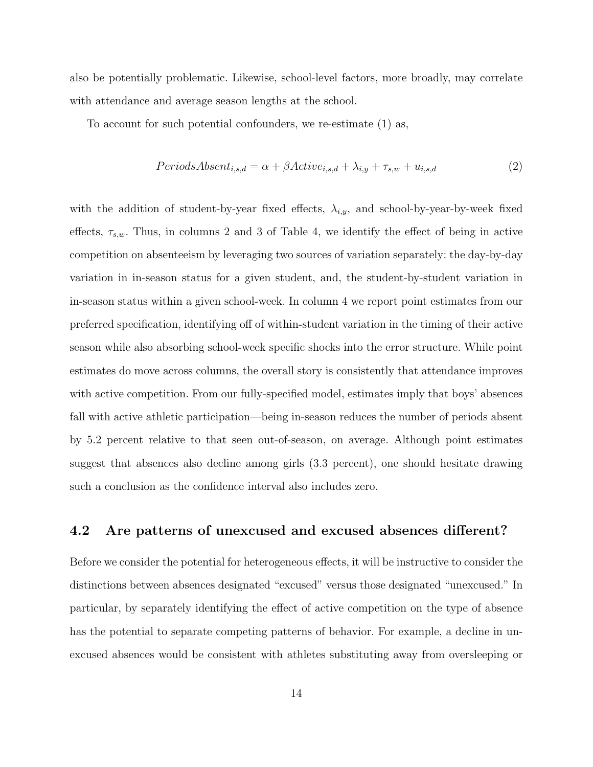also be potentially problematic. Likewise, school-level factors, more broadly, may correlate with attendance and average season lengths at the school.

To account for such potential confounders, we re-estimate [\(1\)](#page-13-2) as,

<span id="page-15-0"></span>
$$
PeriodsAbsent_{i,s,d} = \alpha + \beta Active_{i,s,d} + \lambda_{i,y} + \tau_{s,w} + u_{i,s,d}
$$
\n
$$
(2)
$$

with the addition of student-by-year fixed effects,  $\lambda_{i,y}$ , and school-by-year-by-week fixed effects,  $\tau_{s,w}$ . Thus, in columns 2 and 3 of Table [4,](#page-33-0) we identify the effect of being in active competition on absenteeism by leveraging two sources of variation separately: the day-by-day variation in in-season status for a given student, and, the student-by-student variation in in-season status within a given school-week. In column 4 we report point estimates from our preferred specification, identifying off of within-student variation in the timing of their active season while also absorbing school-week specific shocks into the error structure. While point estimates do move across columns, the overall story is consistently that attendance improves with active competition. From our fully-specified model, estimates imply that boys' absences fall with active athletic participation—being in-season reduces the number of periods absent by 5.2 percent relative to that seen out-of-season, on average. Although point estimates suggest that absences also decline among girls (3.3 percent), one should hesitate drawing such a conclusion as the confidence interval also includes zero.

#### 4.2 Are patterns of unexcused and excused absences different?

Before we consider the potential for heterogeneous effects, it will be instructive to consider the distinctions between absences designated "excused" versus those designated "unexcused." In particular, by separately identifying the effect of active competition on the type of absence has the potential to separate competing patterns of behavior. For example, a decline in unexcused absences would be consistent with athletes substituting away from oversleeping or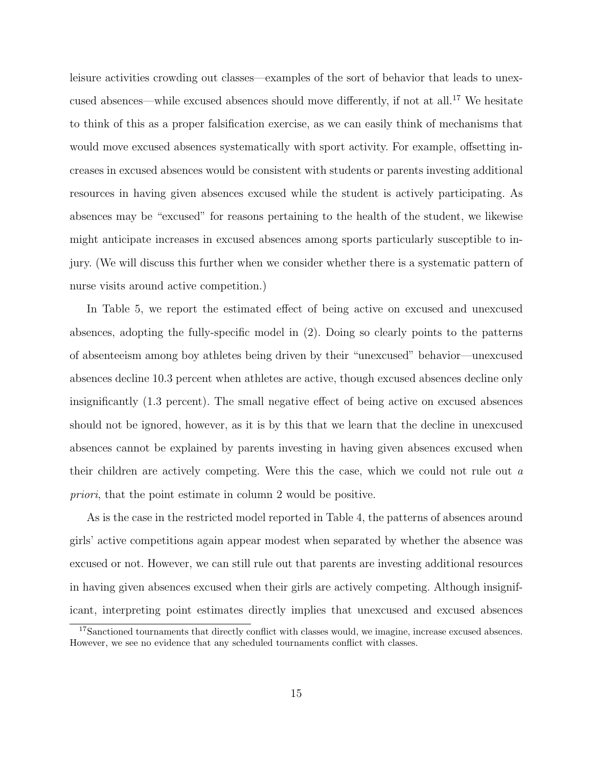leisure activities crowding out classes—examples of the sort of behavior that leads to unexcused absences—while excused absences should move differently, if not at all.[17](#page-16-0) We hesitate to think of this as a proper falsification exercise, as we can easily think of mechanisms that would move excused absences systematically with sport activity. For example, offsetting increases in excused absences would be consistent with students or parents investing additional resources in having given absences excused while the student is actively participating. As absences may be "excused" for reasons pertaining to the health of the student, we likewise might anticipate increases in excused absences among sports particularly susceptible to injury. (We will discuss this further when we consider whether there is a systematic pattern of nurse visits around active competition.)

In Table [5,](#page-34-0) we report the estimated effect of being active on excused and unexcused absences, adopting the fully-specific model in [\(2\)](#page-15-0). Doing so clearly points to the patterns of absenteeism among boy athletes being driven by their "unexcused" behavior—unexcused absences decline 10.3 percent when athletes are active, though excused absences decline only insignificantly (1.3 percent). The small negative effect of being active on excused absences should not be ignored, however, as it is by this that we learn that the decline in unexcused absences cannot be explained by parents investing in having given absences excused when their children are actively competing. Were this the case, which we could not rule out a priori, that the point estimate in column 2 would be positive.

As is the case in the restricted model reported in Table [4,](#page-33-0) the patterns of absences around girls' active competitions again appear modest when separated by whether the absence was excused or not. However, we can still rule out that parents are investing additional resources in having given absences excused when their girls are actively competing. Although insignificant, interpreting point estimates directly implies that unexcused and excused absences

<span id="page-16-0"></span><sup>&</sup>lt;sup>17</sup>Sanctioned tournaments that directly conflict with classes would, we imagine, increase excused absences. However, we see no evidence that any scheduled tournaments conflict with classes.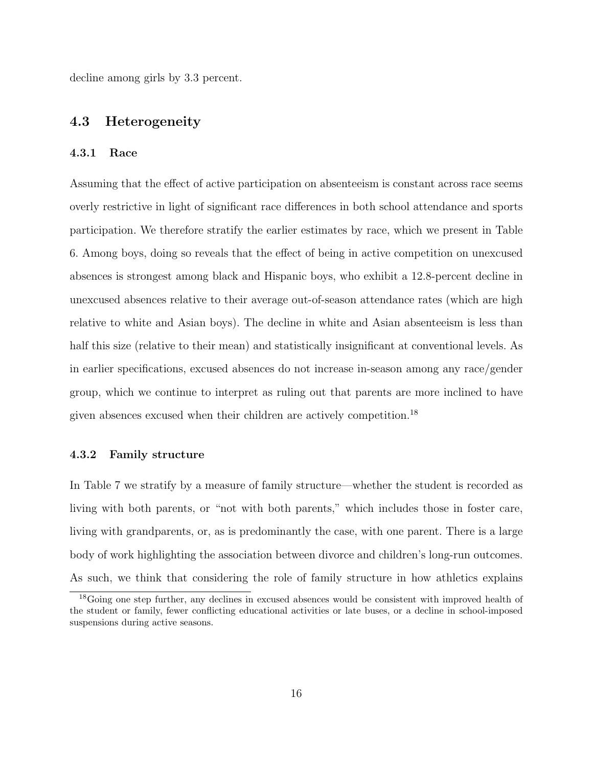decline among girls by 3.3 percent.

#### 4.3 Heterogeneity

#### 4.3.1 Race

Assuming that the effect of active participation on absenteeism is constant across race seems overly restrictive in light of significant race differences in both school attendance and sports participation. We therefore stratify the earlier estimates by race, which we present in Table [6.](#page-35-0) Among boys, doing so reveals that the effect of being in active competition on unexcused absences is strongest among black and Hispanic boys, who exhibit a 12.8-percent decline in unexcused absences relative to their average out-of-season attendance rates (which are high relative to white and Asian boys). The decline in white and Asian absenteeism is less than half this size (relative to their mean) and statistically insignificant at conventional levels. As in earlier specifications, excused absences do not increase in-season among any race/gender group, which we continue to interpret as ruling out that parents are more inclined to have given absences excused when their children are actively competition.[18](#page-17-0)

#### 4.3.2 Family structure

In Table [7](#page-36-0) we stratify by a measure of family structure—whether the student is recorded as living with both parents, or "not with both parents," which includes those in foster care, living with grandparents, or, as is predominantly the case, with one parent. There is a large body of work highlighting the association between divorce and children's long-run outcomes. As such, we think that considering the role of family structure in how athletics explains

<span id="page-17-0"></span><sup>&</sup>lt;sup>18</sup>Going one step further, any declines in excused absences would be consistent with improved health of the student or family, fewer conflicting educational activities or late buses, or a decline in school-imposed suspensions during active seasons.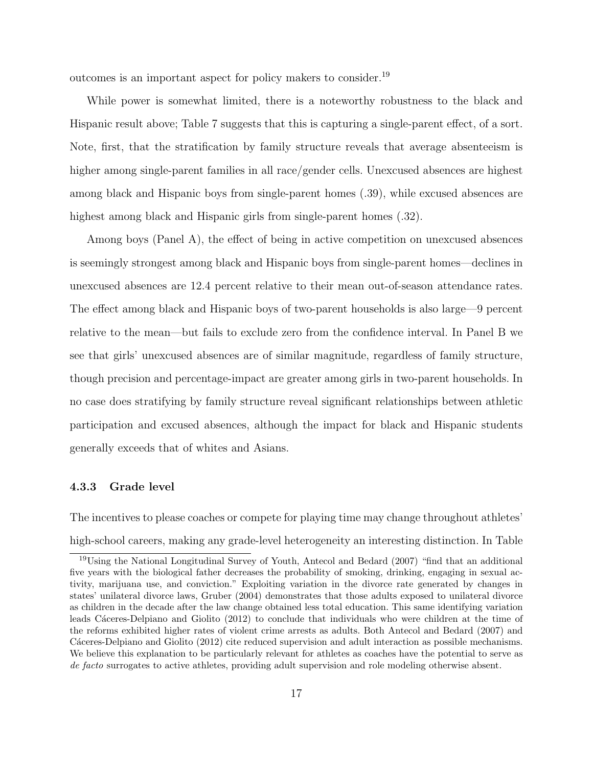outcomes is an important aspect for policy makers to consider.[19](#page-18-0)

While power is somewhat limited, there is a noteworthy robustness to the black and Hispanic result above; Table [7](#page-36-0) suggests that this is capturing a single-parent effect, of a sort. Note, first, that the stratification by family structure reveals that average absenteeism is higher among single-parent families in all race/gender cells. Unexcused absences are highest among black and Hispanic boys from single-parent homes (.39), while excused absences are highest among black and Hispanic girls from single-parent homes (.32).

Among boys (Panel A), the effect of being in active competition on unexcused absences is seemingly strongest among black and Hispanic boys from single-parent homes—declines in unexcused absences are 12.4 percent relative to their mean out-of-season attendance rates. The effect among black and Hispanic boys of two-parent households is also large—9 percent relative to the mean—but fails to exclude zero from the confidence interval. In Panel B we see that girls' unexcused absences are of similar magnitude, regardless of family structure, though precision and percentage-impact are greater among girls in two-parent households. In no case does stratifying by family structure reveal significant relationships between athletic participation and excused absences, although the impact for black and Hispanic students generally exceeds that of whites and Asians.

#### 4.3.3 Grade level

The incentives to please coaches or compete for playing time may change throughout athletes' high-school careers, making any grade-level heterogeneity an interesting distinction. In Table

<span id="page-18-0"></span><sup>19</sup>Using the National Longitudinal Survey of Youth, [Antecol and Bedard](#page-26-5) [\(2007\)](#page-26-5) "find that an additional five years with the biological father decreases the probability of smoking, drinking, engaging in sexual activity, marijuana use, and conviction." Exploiting variation in the divorce rate generated by changes in states' unilateral divorce laws, [Gruber](#page-27-13) [\(2004\)](#page-27-13) demonstrates that those adults exposed to unilateral divorce as children in the decade after the law change obtained less total education. This same identifying variation leads Cáceres-Delpiano and Giolito [\(2012\)](#page-26-6) to conclude that individuals who were children at the time of the reforms exhibited higher rates of violent crime arrests as adults. Both [Antecol and Bedard](#page-26-5) [\(2007\)](#page-26-5) and Cáceres-Delpiano and Giolito [\(2012\)](#page-26-6) cite reduced supervision and adult interaction as possible mechanisms. We believe this explanation to be particularly relevant for athletes as coaches have the potential to serve as de facto surrogates to active athletes, providing adult supervision and role modeling otherwise absent.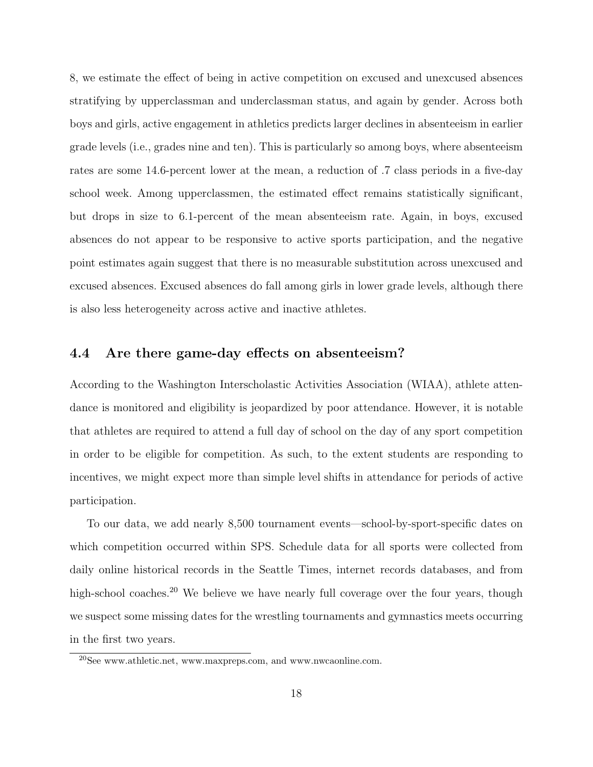[8,](#page-37-0) we estimate the effect of being in active competition on excused and unexcused absences stratifying by upperclassman and underclassman status, and again by gender. Across both boys and girls, active engagement in athletics predicts larger declines in absenteeism in earlier grade levels (i.e., grades nine and ten). This is particularly so among boys, where absenteeism rates are some 14.6-percent lower at the mean, a reduction of .7 class periods in a five-day school week. Among upperclassmen, the estimated effect remains statistically significant, but drops in size to 6.1-percent of the mean absenteeism rate. Again, in boys, excused absences do not appear to be responsive to active sports participation, and the negative point estimates again suggest that there is no measurable substitution across unexcused and excused absences. Excused absences do fall among girls in lower grade levels, although there is also less heterogeneity across active and inactive athletes.

#### 4.4 Are there game-day effects on absenteeism?

According to the Washington Interscholastic Activities Association (WIAA), athlete attendance is monitored and eligibility is jeopardized by poor attendance. However, it is notable that athletes are required to attend a full day of school on the day of any sport competition in order to be eligible for competition. As such, to the extent students are responding to incentives, we might expect more than simple level shifts in attendance for periods of active participation.

To our data, we add nearly 8,500 tournament events—school-by-sport-specific dates on which competition occurred within SPS. Schedule data for all sports were collected from daily online historical records in the Seattle Times, internet records databases, and from high-school coaches.<sup>[20](#page-19-0)</sup> We believe we have nearly full coverage over the four years, though we suspect some missing dates for the wrestling tournaments and gymnastics meets occurring in the first two years.

<span id="page-19-0"></span> $^{20}$ See www.athletic.net, www.maxpreps.com, and www.nwcaonline.com.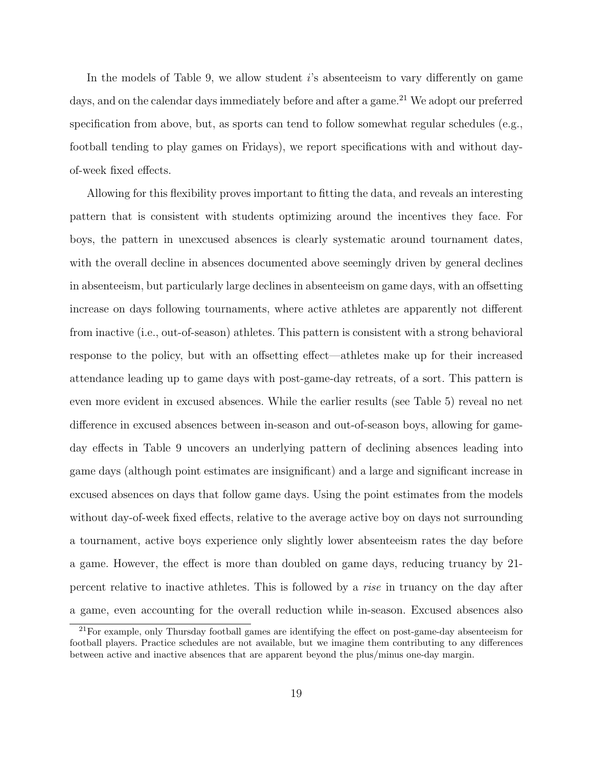In the models of Table [9,](#page-38-0) we allow student  $i$ 's absenteeism to vary differently on game days, and on the calendar days immediately before and after a game.<sup>[21](#page-20-0)</sup> We adopt our preferred specification from above, but, as sports can tend to follow somewhat regular schedules (e.g., football tending to play games on Fridays), we report specifications with and without dayof-week fixed effects.

Allowing for this flexibility proves important to fitting the data, and reveals an interesting pattern that is consistent with students optimizing around the incentives they face. For boys, the pattern in unexcused absences is clearly systematic around tournament dates, with the overall decline in absences documented above seemingly driven by general declines in absenteeism, but particularly large declines in absenteeism on game days, with an offsetting increase on days following tournaments, where active athletes are apparently not different from inactive (i.e., out-of-season) athletes. This pattern is consistent with a strong behavioral response to the policy, but with an offsetting effect—athletes make up for their increased attendance leading up to game days with post-game-day retreats, of a sort. This pattern is even more evident in excused absences. While the earlier results (see Table [5\)](#page-34-0) reveal no net difference in excused absences between in-season and out-of-season boys, allowing for gameday effects in Table [9](#page-38-0) uncovers an underlying pattern of declining absences leading into game days (although point estimates are insignificant) and a large and significant increase in excused absences on days that follow game days. Using the point estimates from the models without day-of-week fixed effects, relative to the average active boy on days not surrounding a tournament, active boys experience only slightly lower absenteeism rates the day before a game. However, the effect is more than doubled on game days, reducing truancy by 21 percent relative to inactive athletes. This is followed by a rise in truancy on the day after a game, even accounting for the overall reduction while in-season. Excused absences also

<span id="page-20-0"></span><sup>21</sup>For example, only Thursday football games are identifying the effect on post-game-day absenteeism for football players. Practice schedules are not available, but we imagine them contributing to any differences between active and inactive absences that are apparent beyond the plus/minus one-day margin.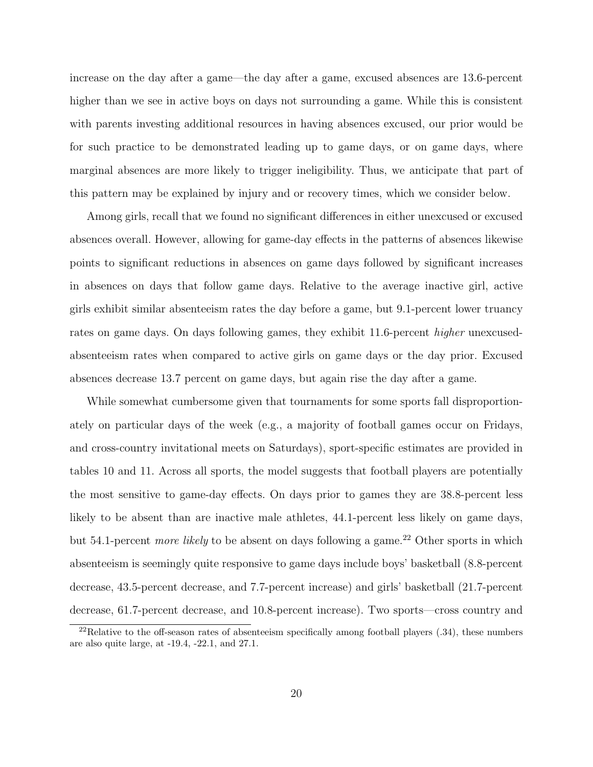increase on the day after a game—the day after a game, excused absences are 13.6-percent higher than we see in active boys on days not surrounding a game. While this is consistent with parents investing additional resources in having absences excused, our prior would be for such practice to be demonstrated leading up to game days, or on game days, where marginal absences are more likely to trigger ineligibility. Thus, we anticipate that part of this pattern may be explained by injury and or recovery times, which we consider below.

Among girls, recall that we found no significant differences in either unexcused or excused absences overall. However, allowing for game-day effects in the patterns of absences likewise points to significant reductions in absences on game days followed by significant increases in absences on days that follow game days. Relative to the average inactive girl, active girls exhibit similar absenteeism rates the day before a game, but 9.1-percent lower truancy rates on game days. On days following games, they exhibit 11.6-percent *higher* unexcusedabsenteeism rates when compared to active girls on game days or the day prior. Excused absences decrease 13.7 percent on game days, but again rise the day after a game.

While somewhat cumbersome given that tournaments for some sports fall disproportionately on particular days of the week (e.g., a majority of football games occur on Fridays, and cross-country invitational meets on Saturdays), sport-specific estimates are provided in tables [10](#page-39-0) and [11.](#page-40-0) Across all sports, the model suggests that football players are potentially the most sensitive to game-day effects. On days prior to games they are 38.8-percent less likely to be absent than are inactive male athletes, 44.1-percent less likely on game days, but 54.1-percent *more likely* to be absent on days following a game.<sup>[22](#page-21-0)</sup> Other sports in which absenteeism is seemingly quite responsive to game days include boys' basketball (8.8-percent decrease, 43.5-percent decrease, and 7.7-percent increase) and girls' basketball (21.7-percent decrease, 61.7-percent decrease, and 10.8-percent increase). Two sports—cross country and

<span id="page-21-0"></span> $22$ Relative to the off-season rates of absenteeism specifically among football players  $(.34)$ , these numbers are also quite large, at -19.4, -22.1, and 27.1.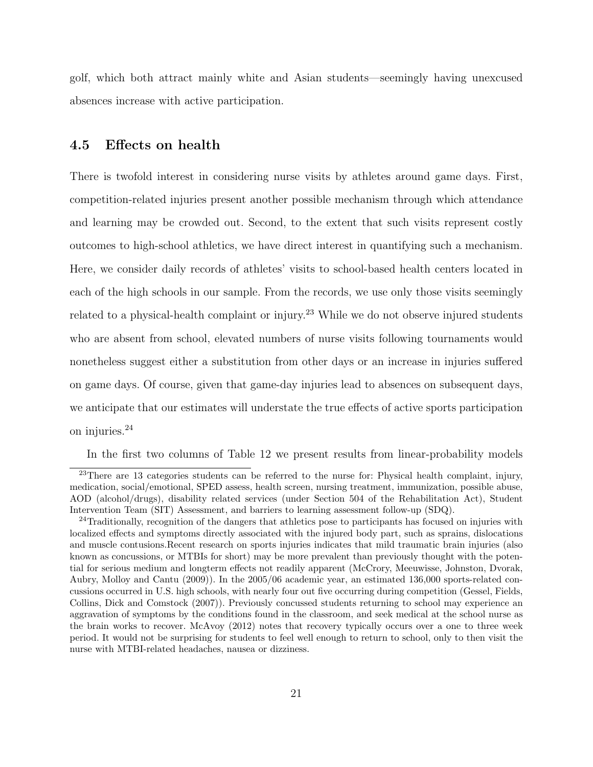golf, which both attract mainly white and Asian students—seemingly having unexcused absences increase with active participation.

#### 4.5 Effects on health

There is twofold interest in considering nurse visits by athletes around game days. First, competition-related injuries present another possible mechanism through which attendance and learning may be crowded out. Second, to the extent that such visits represent costly outcomes to high-school athletics, we have direct interest in quantifying such a mechanism. Here, we consider daily records of athletes' visits to school-based health centers located in each of the high schools in our sample. From the records, we use only those visits seemingly related to a physical-health complaint or injury.<sup>[23](#page-22-0)</sup> While we do not observe injured students who are absent from school, elevated numbers of nurse visits following tournaments would nonetheless suggest either a substitution from other days or an increase in injuries suffered on game days. Of course, given that game-day injuries lead to absences on subsequent days, we anticipate that our estimates will understate the true effects of active sports participation on injuries.[24](#page-22-1)

<span id="page-22-0"></span>In the first two columns of Table [12](#page-41-0) we present results from linear-probability models

<sup>&</sup>lt;sup>23</sup>There are 13 categories students can be referred to the nurse for: Physical health complaint, injury, medication, social/emotional, SPED assess, health screen, nursing treatment, immunization, possible abuse, AOD (alcohol/drugs), disability related services (under Section 504 of the Rehabilitation Act), Student Intervention Team (SIT) Assessment, and barriers to learning assessment follow-up (SDQ).

<span id="page-22-1"></span><sup>&</sup>lt;sup>24</sup>Traditionally, recognition of the dangers that athletics pose to participants has focused on injuries with localized effects and symptoms directly associated with the injured body part, such as sprains, dislocations and muscle contusions.Recent research on sports injuries indicates that mild traumatic brain injuries (also known as concussions, or MTBIs for short) may be more prevalent than previously thought with the potential for serious medium and longterm effects not readily apparent [\(McCrory, Meeuwisse, Johnston, Dvorak,](#page-28-11) [Aubry, Molloy and Cantu](#page-28-11) [\(2009\)](#page-28-11)). In the 2005/06 academic year, an estimated 136,000 sports-related concussions occurred in U.S. high schools, with nearly four out five occurring during competition [\(Gessel, Fields,](#page-27-14) [Collins, Dick and Comstock](#page-27-14) [\(2007\)](#page-27-14)). Previously concussed students returning to school may experience an aggravation of symptoms by the conditions found in the classroom, and seek medical at the school nurse as the brain works to recover. [McAvoy](#page-28-12) [\(2012\)](#page-28-12) notes that recovery typically occurs over a one to three week period. It would not be surprising for students to feel well enough to return to school, only to then visit the nurse with MTBI-related headaches, nausea or dizziness.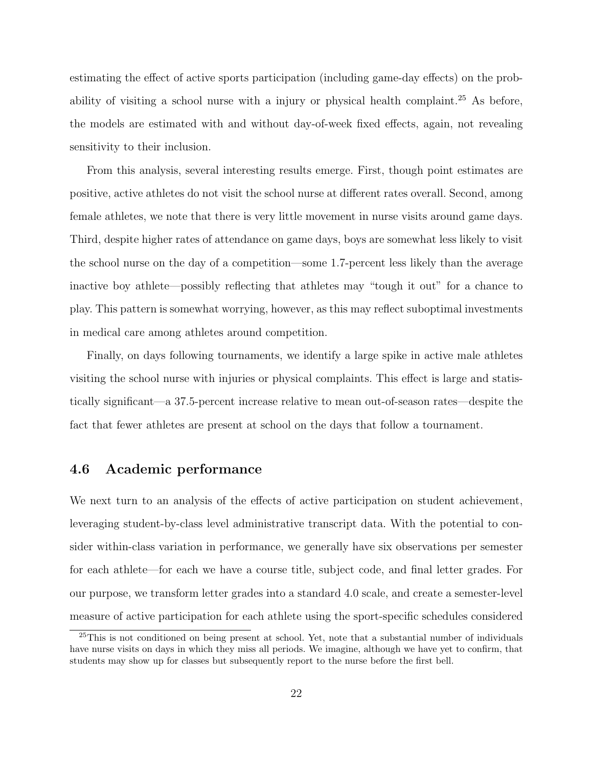estimating the effect of active sports participation (including game-day effects) on the prob-ability of visiting a school nurse with a injury or physical health complaint.<sup>[25](#page-23-0)</sup> As before, the models are estimated with and without day-of-week fixed effects, again, not revealing sensitivity to their inclusion.

From this analysis, several interesting results emerge. First, though point estimates are positive, active athletes do not visit the school nurse at different rates overall. Second, among female athletes, we note that there is very little movement in nurse visits around game days. Third, despite higher rates of attendance on game days, boys are somewhat less likely to visit the school nurse on the day of a competition—some 1.7-percent less likely than the average inactive boy athlete—possibly reflecting that athletes may "tough it out" for a chance to play. This pattern is somewhat worrying, however, as this may reflect suboptimal investments in medical care among athletes around competition.

Finally, on days following tournaments, we identify a large spike in active male athletes visiting the school nurse with injuries or physical complaints. This effect is large and statistically significant—a 37.5-percent increase relative to mean out-of-season rates—despite the fact that fewer athletes are present at school on the days that follow a tournament.

#### 4.6 Academic performance

We next turn to an analysis of the effects of active participation on student achievement, leveraging student-by-class level administrative transcript data. With the potential to consider within-class variation in performance, we generally have six observations per semester for each athlete—for each we have a course title, subject code, and final letter grades. For our purpose, we transform letter grades into a standard 4.0 scale, and create a semester-level measure of active participation for each athlete using the sport-specific schedules considered

<span id="page-23-0"></span><sup>&</sup>lt;sup>25</sup>This is not conditioned on being present at school. Yet, note that a substantial number of individuals have nurse visits on days in which they miss all periods. We imagine, although we have yet to confirm, that students may show up for classes but subsequently report to the nurse before the first bell.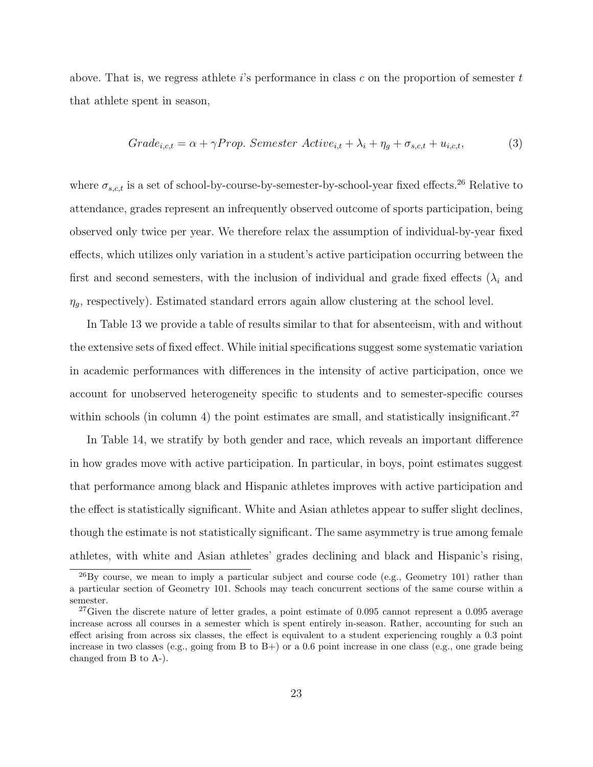above. That is, we regress athlete  $i$ 's performance in class c on the proportion of semester  $t$ that athlete spent in season,

$$
Grade_{i,c,t} = \alpha + \gamma Prop. \text{ Semester} \text{ Active}_{i,t} + \lambda_i + \eta_g + \sigma_{s,c,t} + u_{i,c,t}, \tag{3}
$$

where  $\sigma_{s,c,t}$  is a set of school-by-course-by-semester-by-school-year fixed effects.<sup>[26](#page-24-0)</sup> Relative to attendance, grades represent an infrequently observed outcome of sports participation, being observed only twice per year. We therefore relax the assumption of individual-by-year fixed effects, which utilizes only variation in a student's active participation occurring between the first and second semesters, with the inclusion of individual and grade fixed effects  $(\lambda_i)$  and  $\eta_g$ , respectively). Estimated standard errors again allow clustering at the school level.

In Table [13](#page-42-0) we provide a table of results similar to that for absenteeism, with and without the extensive sets of fixed effect. While initial specifications suggest some systematic variation in academic performances with differences in the intensity of active participation, once we account for unobserved heterogeneity specific to students and to semester-specific courses within schools (in column 4) the point estimates are small, and statistically insignificant.<sup>[27](#page-24-1)</sup>

In Table [14,](#page-43-0) we stratify by both gender and race, which reveals an important difference in how grades move with active participation. In particular, in boys, point estimates suggest that performance among black and Hispanic athletes improves with active participation and the effect is statistically significant. White and Asian athletes appear to suffer slight declines, though the estimate is not statistically significant. The same asymmetry is true among female athletes, with white and Asian athletes' grades declining and black and Hispanic's rising,

<span id="page-24-0"></span> $^{26}$ By course, we mean to imply a particular subject and course code (e.g., Geometry 101) rather than a particular section of Geometry 101. Schools may teach concurrent sections of the same course within a semester.

<span id="page-24-1"></span><sup>&</sup>lt;sup>27</sup>Given the discrete nature of letter grades, a point estimate of  $0.095$  cannot represent a  $0.095$  average increase across all courses in a semester which is spent entirely in-season. Rather, accounting for such an effect arising from across six classes, the effect is equivalent to a student experiencing roughly a 0.3 point increase in two classes (e.g., going from B to B+) or a 0.6 point increase in one class (e.g., one grade being changed from B to A-).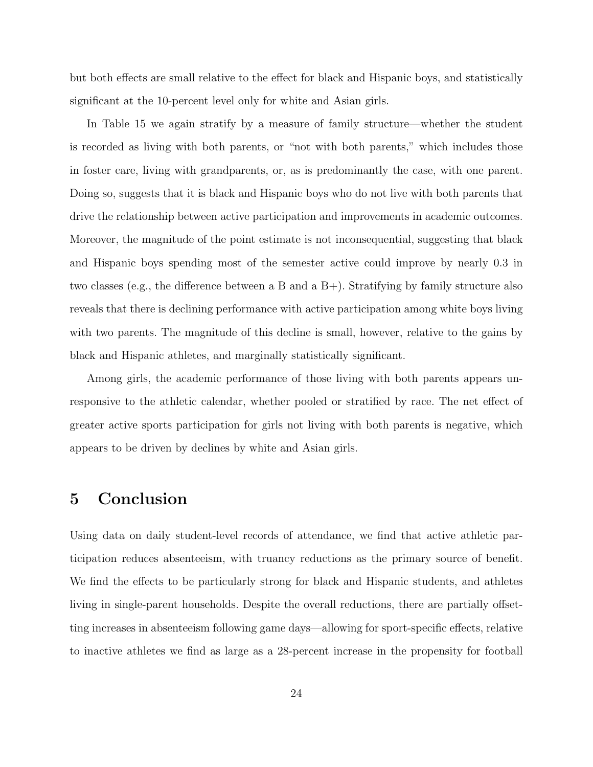but both effects are small relative to the effect for black and Hispanic boys, and statistically significant at the 10-percent level only for white and Asian girls.

In Table [15](#page-44-0) we again stratify by a measure of family structure—whether the student is recorded as living with both parents, or "not with both parents," which includes those in foster care, living with grandparents, or, as is predominantly the case, with one parent. Doing so, suggests that it is black and Hispanic boys who do not live with both parents that drive the relationship between active participation and improvements in academic outcomes. Moreover, the magnitude of the point estimate is not inconsequential, suggesting that black and Hispanic boys spending most of the semester active could improve by nearly 0.3 in two classes (e.g., the difference between a B and a B+). Stratifying by family structure also reveals that there is declining performance with active participation among white boys living with two parents. The magnitude of this decline is small, however, relative to the gains by black and Hispanic athletes, and marginally statistically significant.

Among girls, the academic performance of those living with both parents appears unresponsive to the athletic calendar, whether pooled or stratified by race. The net effect of greater active sports participation for girls not living with both parents is negative, which appears to be driven by declines by white and Asian girls.

# <span id="page-25-0"></span>5 Conclusion

Using data on daily student-level records of attendance, we find that active athletic participation reduces absenteeism, with truancy reductions as the primary source of benefit. We find the effects to be particularly strong for black and Hispanic students, and athletes living in single-parent households. Despite the overall reductions, there are partially offsetting increases in absenteeism following game days—allowing for sport-specific effects, relative to inactive athletes we find as large as a 28-percent increase in the propensity for football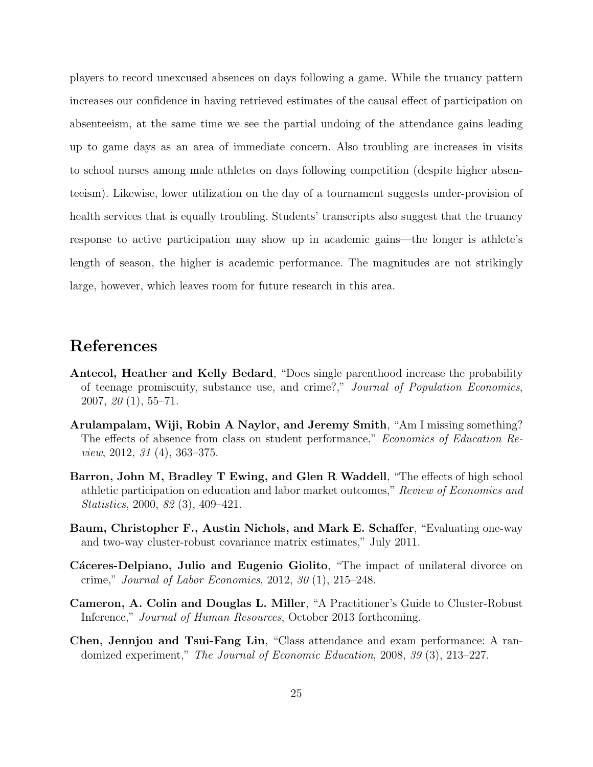players to record unexcused absences on days following a game. While the truancy pattern increases our confidence in having retrieved estimates of the causal effect of participation on absenteeism, at the same time we see the partial undoing of the attendance gains leading up to game days as an area of immediate concern. Also troubling are increases in visits to school nurses among male athletes on days following competition (despite higher absenteeism). Likewise, lower utilization on the day of a tournament suggests under-provision of health services that is equally troubling. Students' transcripts also suggest that the truancy response to active participation may show up in academic gains—the longer is athlete's length of season, the higher is academic performance. The magnitudes are not strikingly large, however, which leaves room for future research in this area.

### References

- <span id="page-26-5"></span>Antecol, Heather and Kelly Bedard, "Does single parenthood increase the probability of teenage promiscuity, substance use, and crime?," Journal of Population Economics, 2007, 20 (1), 55–71.
- <span id="page-26-1"></span>Arulampalam, Wiji, Robin A Naylor, and Jeremy Smith, "Am I missing something? The effects of absence from class on student performance," Economics of Education Review, 2012, 31 (4), 363–375.
- <span id="page-26-0"></span>Barron, John M, Bradley T Ewing, and Glen R Waddell, "The effects of high school athletic participation on education and labor market outcomes," Review of Economics and Statistics, 2000, 82 (3), 409–421.
- <span id="page-26-3"></span>Baum, Christopher F., Austin Nichols, and Mark E. Schaffer, "Evaluating one-way and two-way cluster-robust covariance matrix estimates," July 2011.
- <span id="page-26-6"></span>Cáceres-Delpiano, Julio and Eugenio Giolito, "The impact of unilateral divorce on crime," Journal of Labor Economics, 2012, 30 (1), 215–248.
- <span id="page-26-4"></span>Cameron, A. Colin and Douglas L. Miller, "A Practitioner's Guide to Cluster-Robust Inference," Journal of Human Resources, October 2013 forthcoming.
- <span id="page-26-2"></span>Chen, Jennjou and Tsui-Fang Lin, "Class attendance and exam performance: A randomized experiment," The Journal of Economic Education, 2008, 39 (3), 213–227.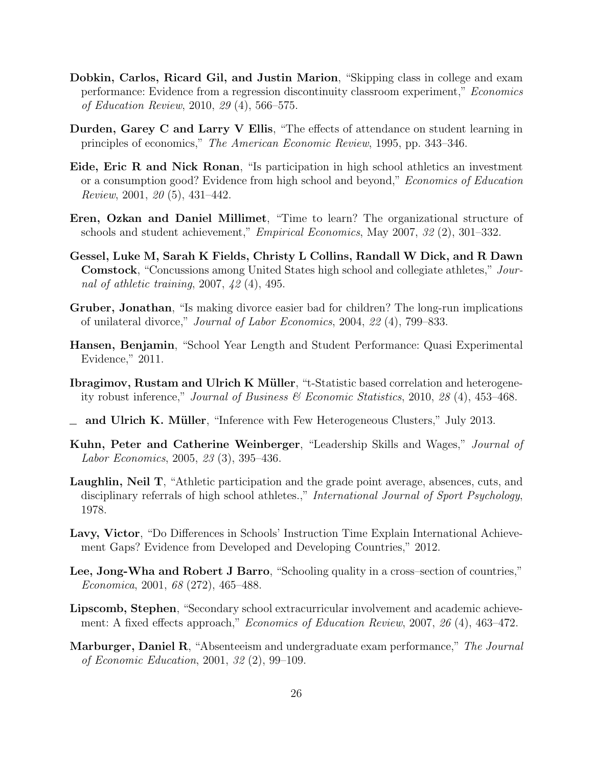- <span id="page-27-6"></span>Dobkin, Carlos, Ricard Gil, and Justin Marion, "Skipping class in college and exam performance: Evidence from a regression discontinuity classroom experiment," Economics of Education Review, 2010, 29 (4), 566–575.
- <span id="page-27-7"></span>Durden, Garey C and Larry V Ellis, "The effects of attendance on student learning in principles of economics," The American Economic Review, 1995, pp. 343–346.
- <span id="page-27-0"></span>Eide, Eric R and Nick Ronan, "Is participation in high school athletics an investment or a consumption good? Evidence from high school and beyond," Economics of Education Review, 2001, 20 (5), 431–442.
- <span id="page-27-4"></span>Eren, Ozkan and Daniel Millimet, "Time to learn? The organizational structure of schools and student achievement," Empirical Economics, May 2007, 32 (2), 301–332.
- <span id="page-27-14"></span>Gessel, Luke M, Sarah K Fields, Christy L Collins, Randall W Dick, and R Dawn Comstock, "Concussions among United States high school and collegiate athletes," Journal of athletic training, 2007, 42 (4), 495.
- <span id="page-27-13"></span>Gruber, Jonathan, "Is making divorce easier bad for children? The long-run implications of unilateral divorce," Journal of Labor Economics, 2004, 22 (4), 799–833.
- <span id="page-27-5"></span>Hansen, Benjamin, "School Year Length and Student Performance: Quasi Experimental Evidence," 2011.
- <span id="page-27-11"></span>Ibragimov, Rustam and Ulrich K Müller, "t-Statistic based correlation and heterogeneity robust inference," Journal of Business & Economic Statistics, 2010, 28 (4), 453–468.
- <span id="page-27-12"></span> $\equiv$  and Ulrich K. Müller, "Inference with Few Heterogeneous Clusters," July 2013.
- <span id="page-27-9"></span>Kuhn, Peter and Catherine Weinberger, "Leadership Skills and Wages," Journal of Labor Economics, 2005, 23 (3), 395–436.
- <span id="page-27-10"></span>Laughlin, Neil T, "Athletic participation and the grade point average, absences, cuts, and disciplinary referrals of high school athletes.," International Journal of Sport Psychology, 1978.
- <span id="page-27-3"></span>Lavy, Victor, "Do Differences in Schools' Instruction Time Explain International Achievement Gaps? Evidence from Developed and Developing Countries," 2012.
- <span id="page-27-2"></span>Lee, Jong-Wha and Robert J Barro, "Schooling quality in a cross–section of countries," Economica, 2001, 68 (272), 465–488.
- <span id="page-27-1"></span>Lipscomb, Stephen, "Secondary school extracurricular involvement and academic achievement: A fixed effects approach," *Economics of Education Review*, 2007, 26 (4), 463-472.
- <span id="page-27-8"></span>Marburger, Daniel R, "Absenteeism and undergraduate exam performance," The Journal of Economic Education, 2001, 32 (2), 99–109.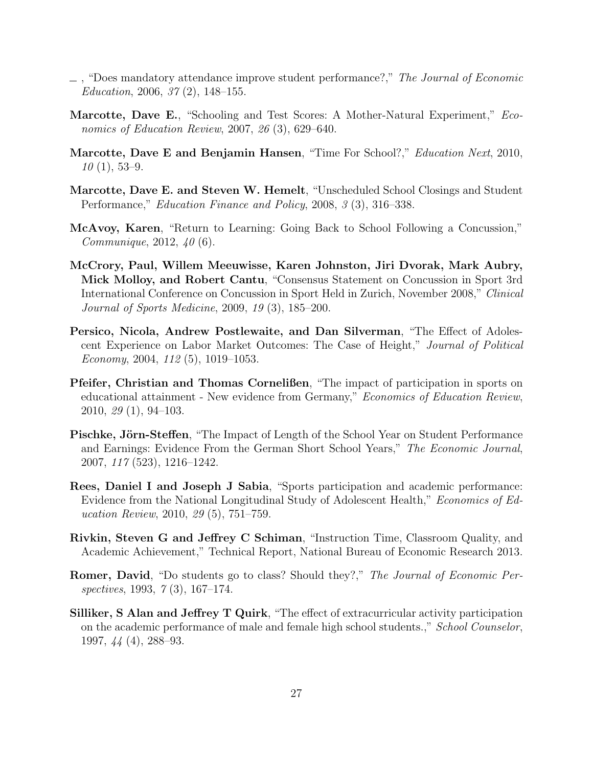- <span id="page-28-9"></span> $\Box$ , "Does mandatory attendance improve student performance?," The Journal of Economic Education, 2006, 37 (2), 148–155.
- <span id="page-28-6"></span>Marcotte, Dave E., "Schooling and Test Scores: A Mother-Natural Experiment," Economics of Education Review, 2007, 26 (3), 629–640.
- <span id="page-28-7"></span>Marcotte, Dave E and Benjamin Hansen, "Time For School?," Education Next, 2010,  $10(1), 53-9.$
- <span id="page-28-5"></span>Marcotte, Dave E. and Steven W. Hemelt, "Unscheduled School Closings and Student Performance," Education Finance and Policy, 2008, 3 (3), 316–338.
- <span id="page-28-12"></span>McAvoy, Karen, "Return to Learning: Going Back to School Following a Concussion," Communique, 2012, 40 (6).
- <span id="page-28-11"></span>McCrory, Paul, Willem Meeuwisse, Karen Johnston, Jiri Dvorak, Mark Aubry, Mick Molloy, and Robert Cantu, "Consensus Statement on Concussion in Sport 3rd International Conference on Concussion in Sport Held in Zurich, November 2008," Clinical Journal of Sports Medicine, 2009, 19 (3), 185–200.
- <span id="page-28-2"></span>Persico, Nicola, Andrew Postlewaite, and Dan Silverman, "The Effect of Adolescent Experience on Labor Market Outcomes: The Case of Height," Journal of Political Economy, 2004, 112 (5), 1019–1053.
- <span id="page-28-1"></span>Pfeifer, Christian and Thomas Cornelißen, "The impact of participation in sports on educational attainment - New evidence from Germany," Economics of Education Review, 2010, 29 (1), 94–103.
- <span id="page-28-4"></span>**Pischke, Jörn-Steffen**, "The Impact of Length of the School Year on Student Performance and Earnings: Evidence From the German Short School Years," The Economic Journal, 2007, 117 (523), 1216–1242.
- <span id="page-28-0"></span>Rees, Daniel I and Joseph J Sabia, "Sports participation and academic performance: Evidence from the National Longitudinal Study of Adolescent Health," Economics of Education Review, 2010, 29 (5), 751–759.
- <span id="page-28-3"></span>Rivkin, Steven G and Jeffrey C Schiman, "Instruction Time, Classroom Quality, and Academic Achievement," Technical Report, National Bureau of Economic Research 2013.
- <span id="page-28-8"></span>Romer, David, "Do students go to class? Should they?," The Journal of Economic Perspectives, 1993, 7 (3), 167–174.
- <span id="page-28-10"></span>Silliker, S Alan and Jeffrey T Quirk, "The effect of extracurricular activity participation on the academic performance of male and female high school students.," School Counselor, 1997, 44 (4), 288–93.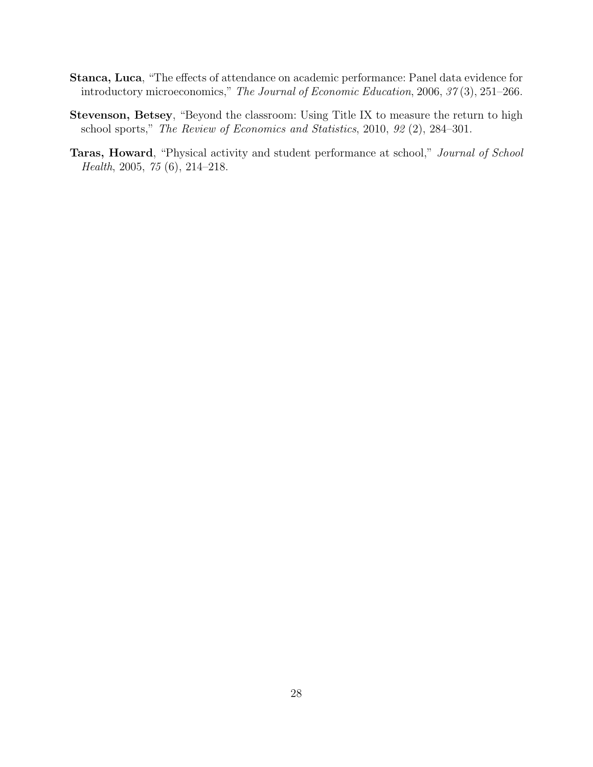- <span id="page-29-1"></span>Stanca, Luca, "The effects of attendance on academic performance: Panel data evidence for introductory microeconomics," The Journal of Economic Education, 2006, 37 (3), 251–266.
- <span id="page-29-0"></span>Stevenson, Betsey, "Beyond the classroom: Using Title IX to measure the return to high school sports," The Review of Economics and Statistics, 2010, 92 (2), 284–301.
- <span id="page-29-2"></span>Taras, Howard, "Physical activity and student performance at school," Journal of School Health, 2005, 75 (6), 214–218.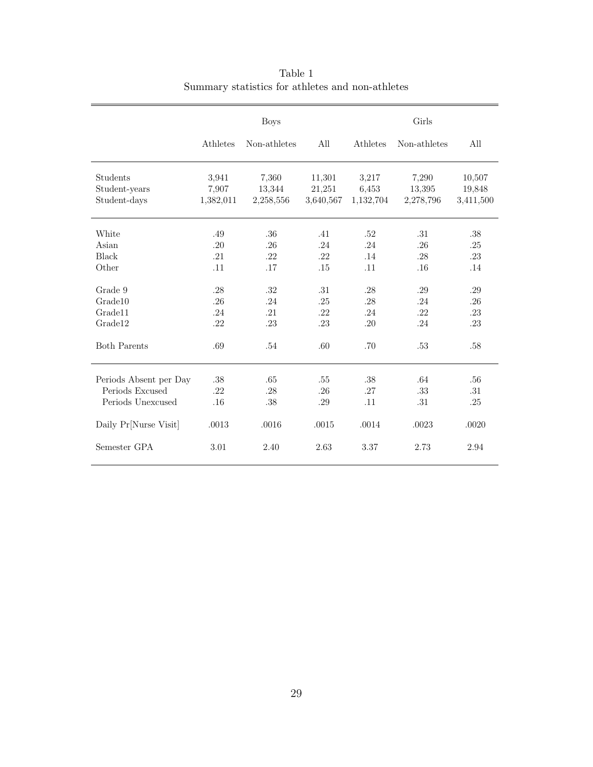<span id="page-30-0"></span>

|                           | <b>Boys</b>    |                 |                  | Girls          |                 |                  |  |
|---------------------------|----------------|-----------------|------------------|----------------|-----------------|------------------|--|
|                           | Athletes       | Non-athletes    | All              | Athletes       | Non-athletes    | All              |  |
| Students<br>Student-years | 3,941<br>7,907 | 7,360<br>13,344 | 11,301<br>21,251 | 3,217<br>6,453 | 7,290<br>13,395 | 10,507<br>19,848 |  |
| Student-days              | 1,382,011      | 2,258,556       | 3,640,567        | 1,132,704      | 2,278,796       | 3,411,500        |  |
| White                     | .49            | .36             | .41              | .52            | .31             | .38              |  |
| Asian                     | .20            | .26             | .24              | .24            | .26             | .25              |  |
| Black                     | .21            | .22             | .22              | .14            | .28             | .23              |  |
| Other                     | .11            | .17             | .15              | .11            | .16             | .14              |  |
| Grade 9                   | .28            | .32             | .31              | .28            | .29             | .29              |  |
| Grade10                   | .26            | .24             | $.25\,$          | .28            | .24             | .26              |  |
| Grade <sup>11</sup>       | .24            | .21             | .22              | .24            | .22             | .23              |  |
| Grade12                   | .22            | .23             | .23              | .20            | .24             | .23              |  |
| <b>Both Parents</b>       | .69            | .54             | .60              | .70            | .53             | .58              |  |
| Periods Absent per Day    | .38            | .65             | .55              | .38            | .64             | .56              |  |
| Periods Excused           | .22            | .28             | .26              | .27            | .33             | .31              |  |
| Periods Unexcused         | .16            | .38             | .29              | .11            | .31             | .25              |  |
| Daily Pr[Nurse Visit]     | .0013          | .0016           | .0015            | .0014          | .0023           | .0020            |  |
| Semester GPA              | 3.01           | 2.40            | 2.63             | 3.37           | 2.73            | 2.94             |  |

Table 1 Summary statistics for athletes and non-athletes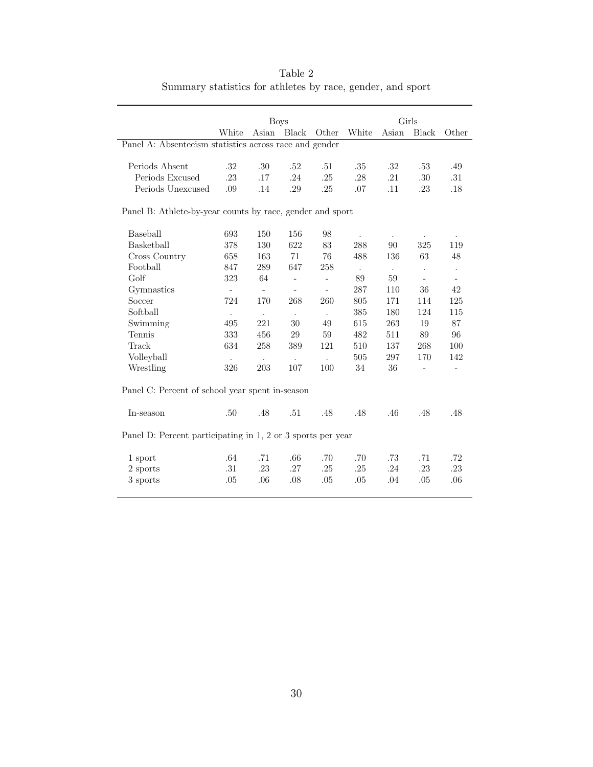<span id="page-31-0"></span>

|                                                             |                      | <b>Boys</b>              |                          |                          | Girls          |                |                          |                          |  |
|-------------------------------------------------------------|----------------------|--------------------------|--------------------------|--------------------------|----------------|----------------|--------------------------|--------------------------|--|
|                                                             | White                | Asian                    | Black                    | Other                    | White          | Asian          | Black                    | Other                    |  |
| Panel A: Absenteeism statistics across race and gender      |                      |                          |                          |                          |                |                |                          |                          |  |
|                                                             |                      |                          |                          |                          |                |                |                          |                          |  |
| Periods Absent                                              | .32                  | .30                      | .52                      | .51                      | .35            | .32            | .53                      | .49                      |  |
| Periods Excused                                             | .23                  | .17                      | .24                      | .25                      | .28            | .21            | .30                      | .31                      |  |
| Periods Unexcused                                           | .09                  | .14                      | .29                      | .25                      | .07            | .11            | .23                      | .18                      |  |
| Panel B: Athlete-by-year counts by race, gender and sport   |                      |                          |                          |                          |                |                |                          |                          |  |
| Baseball                                                    | 693                  | 150                      | 156                      | 98                       |                |                |                          |                          |  |
| Basketball                                                  | 378                  | 130                      | 622                      | 83                       | 288            | 90             | 325                      | 119                      |  |
| Cross Country                                               | 658                  | 163                      | 71                       | 76                       | 488            | 136            | 63                       | 48                       |  |
| Football                                                    | 847                  | 289                      | 647                      | 258                      | $\blacksquare$ | $\blacksquare$ | $\ddot{\phantom{a}}$     | $\bullet$                |  |
| $G$ olf                                                     | 323                  | 64                       | $\blacksquare$           | $\overline{\phantom{a}}$ | 89             | 59             | $\overline{\phantom{a}}$ | $\overline{\phantom{a}}$ |  |
| Gymnastics                                                  |                      | $\overline{\phantom{a}}$ | $\overline{\phantom{a}}$ | $\equiv$                 | 287            | 110            | 36                       | 42                       |  |
| Soccer                                                      | 724                  | 170                      | 268                      | 260                      | 805            | 171            | 114                      | 125                      |  |
| Softball                                                    | $\ddot{\phantom{0}}$ | $\ddot{\phantom{0}}$     | $\ddot{\phantom{0}}$     | $\ddot{\phantom{0}}$     | 385            | 180            | 124                      | 115                      |  |
| Swimming                                                    | 495                  | 221                      | 30                       | 49                       | 615            | 263            | 19                       | 87                       |  |
| Tennis                                                      | 333                  | 456                      | $\,29$                   | 59                       | 482            | 511            | 89                       | 96                       |  |
| Track                                                       | 634                  | $258\,$                  | 389                      | 121                      | 510            | 137            | $268\,$                  | 100                      |  |
| Volleyball                                                  | $\ddot{\phantom{a}}$ | $\ddot{\phantom{0}}$     | $\mathbb{Z}^2$           | $\ddot{\phantom{a}}$     | 505            | 297            | 170                      | 142                      |  |
| Wrestling                                                   | 326                  | 203                      | 107                      | 100                      | 34             | 36             | $\overline{a}$           | $\overline{\phantom{a}}$ |  |
| Panel C: Percent of school year spent in-season             |                      |                          |                          |                          |                |                |                          |                          |  |
| In-season                                                   | .50                  | .48                      | .51                      | .48                      | .48            | .46            | .48                      | .48                      |  |
| Panel D: Percent participating in 1, 2 or 3 sports per year |                      |                          |                          |                          |                |                |                          |                          |  |
| 1 sport                                                     | .64                  | .71                      | .66                      | .70                      | .70            | .73            | .71                      | .72                      |  |
| 2 sports                                                    | .31                  | .23                      | .27                      | .25                      | .25            | .24            | $.23\,$                  | .23                      |  |
| 3 sports                                                    | .05                  | .06                      | .08                      | .05                      | .05            | .04            | .05                      | .06                      |  |
|                                                             |                      |                          |                          |                          |                |                |                          |                          |  |

Table 2 Summary statistics for athletes by race, gender, and sport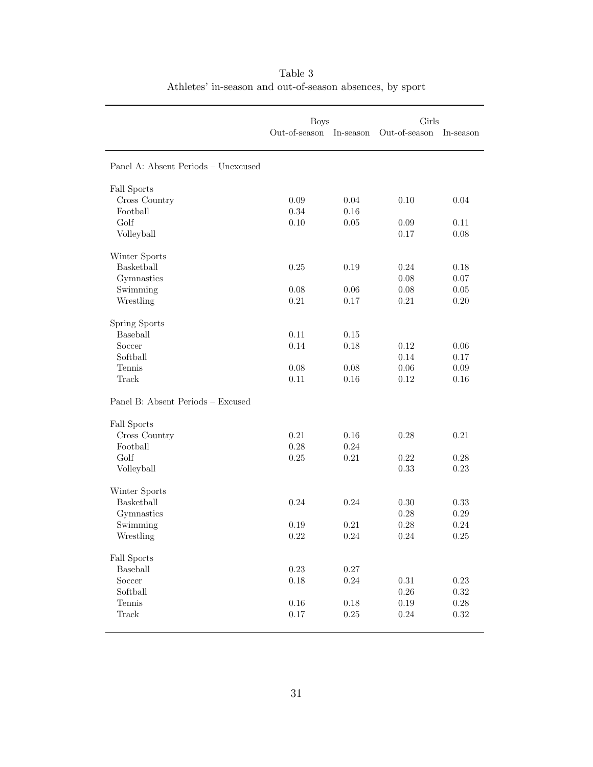<span id="page-32-0"></span>

|                                     | <b>Boys</b>                |          | Girls         |            |  |
|-------------------------------------|----------------------------|----------|---------------|------------|--|
|                                     | Out-of-season<br>In-season |          | Out-of-season | In-season  |  |
|                                     |                            |          |               |            |  |
| Panel A: Absent Periods - Unexcused |                            |          |               |            |  |
| Fall Sports                         |                            |          |               |            |  |
| Cross Country                       | 0.09                       | 0.04     | 0.10          | 0.04       |  |
| Football                            | 0.34                       | 0.16     |               |            |  |
| Golf                                | 0.10                       | 0.05     | 0.09          | 0.11       |  |
| Volleyball                          |                            |          | 0.17          | 0.08       |  |
| Winter Sports                       |                            |          |               |            |  |
| Basketball                          | 0.25                       | 0.19     | 0.24          | 0.18       |  |
| Gymnastics                          |                            |          | 0.08          | 0.07       |  |
| Swimming                            | 0.08                       | 0.06     | 0.08          | $0.05\,$   |  |
| Wrestling                           | 0.21                       | 0.17     | 0.21          | 0.20       |  |
| Spring Sports                       |                            |          |               |            |  |
| Baseball                            | 0.11                       | 0.15     |               |            |  |
| Soccer                              | 0.14                       | $0.18\,$ | 0.12          | 0.06       |  |
| Softball                            |                            |          | 0.14          | 0.17       |  |
| Tennis                              | 0.08                       | 0.08     | 0.06          | 0.09       |  |
| Track                               | 0.11                       | 0.16     | 0.12          | 0.16       |  |
| Panel B: Absent Periods - Excused   |                            |          |               |            |  |
| Fall Sports                         |                            |          |               |            |  |
| Cross Country                       | 0.21                       | 0.16     | 0.28          | 0.21       |  |
| Football                            | 0.28                       | 0.24     |               |            |  |
| Golf                                | 0.25                       | 0.21     | 0.22          | 0.28       |  |
| Volleyball                          |                            |          | 0.33          | 0.23       |  |
| Winter Sports                       |                            |          |               |            |  |
| Basketball                          | 0.24                       | 0.24     | 0.30          | 0.33       |  |
| Gymnastics                          |                            |          | 0.28          | 0.29       |  |
| Swimming                            | 0.19                       | 0.21     | 0.28          | 0.24       |  |
| Wrestling                           | 0.22                       | 0.24     | 0.24          | 0.25       |  |
| Fall Sports                         |                            |          |               |            |  |
| Baseball                            | 0.23                       | $0.27\,$ |               |            |  |
| Soccer                              | 0.18                       | $0.24\,$ | 0.31          | $0.23\,$   |  |
| Softball                            |                            |          | 0.26          | $0.32\,$   |  |
| Tennis                              | 0.16                       | $0.18\,$ | 0.19          | 0.28       |  |
| Track                               | 0.17                       | $0.25\,$ | 0.24          | $\rm 0.32$ |  |
|                                     |                            |          |               |            |  |

Table 3 Athletes' in-season and out-of-season absences, by sport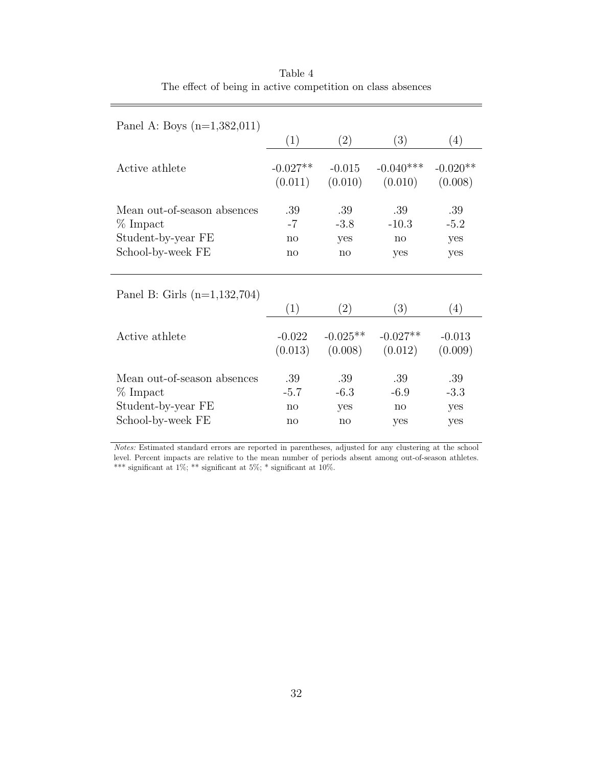<span id="page-33-0"></span>

| Panel A: Boys $(n=1,382,011)$  |                            |            |              |                  |
|--------------------------------|----------------------------|------------|--------------|------------------|
|                                | (1)                        | (2)        | (3)          | (4)              |
| Active athlete                 | $-0.027**$                 | $-0.015$   | $-0.040***$  | $-0.020**$       |
|                                | (0.011)                    | (0.010)    | (0.010)      | (0.008)          |
| Mean out-of-season absences    | .39                        | .39        | .39          | .39              |
| % Impact                       | $-7$                       | $-3.8$     | $-10.3$      | $-5.2$           |
| Student-by-year FE             | no                         | yes        | no           | yes              |
| School-by-week FE              | no                         | no         | yes          | yes              |
| Panel B: Girls $(n=1,132,704)$ | (1)                        | (2)        | (3)          | $\left(4\right)$ |
| Active athlete                 | $-0.022$                   | $-0.025**$ | $-0.027**$   | $-0.013$         |
|                                | (0.013)                    | (0.008)    | (0.012)      | (0.009)          |
| Mean out-of-season absences    | .39                        | .39        | .39          | .39              |
| $%$ Impact                     | $-5.7$                     | $-6.3$     | $-6.9$       | $-3.3$           |
| Student-by-year FE             | no                         | yes        | $\mathbf{n}$ | yes              |
| School-by-week FE              | $\mathop{\rm no}\nolimits$ | no         | yes          | yes              |

Table 4 The effect of being in active competition on class absences

Notes: Estimated standard errors are reported in parentheses, adjusted for any clustering at the school level. Percent impacts are relative to the mean number of periods absent among out-of-season athletes. \*\*\* significant at  $1\%$ ; \*\* significant at  $5\%$ ; \* significant at  $10\%$ .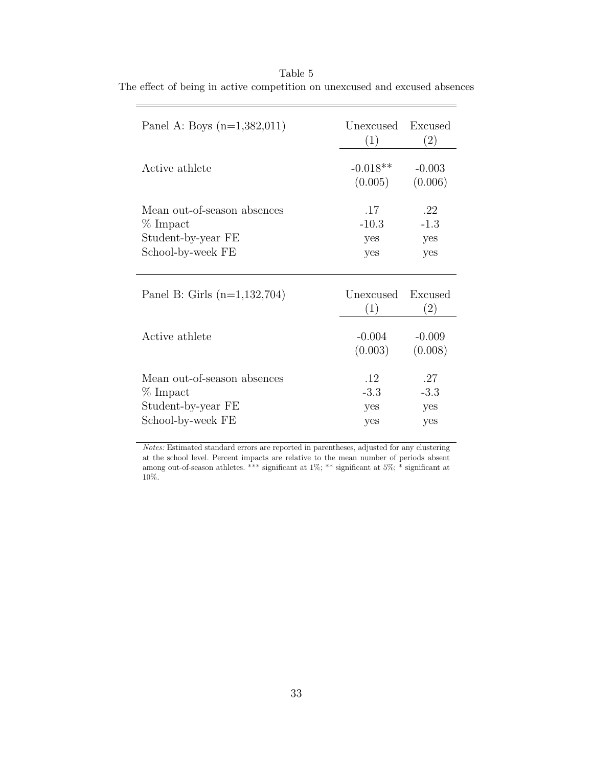| Panel A: Boys $(n=1,382,011)$                                                        | Unexcused<br>(1)             | Excused<br>(2)              |
|--------------------------------------------------------------------------------------|------------------------------|-----------------------------|
| Active athlete                                                                       | $-0.018**$<br>(0.005)        | $-0.003$<br>(0.006)         |
| Mean out-of-season absences<br>$%$ Impact<br>Student-by-year FE<br>School-by-week FE | .17<br>$-10.3$<br>yes<br>yes | .22<br>$-1.3$<br>yes<br>yes |
| Panel B: Girls $(n=1,132,704)$                                                       | Unexcused<br>(1)             | Excused<br>(2)              |
| Active athlete                                                                       | $-0.004$<br>(0.003)          | $-0.009$<br>(0.008)         |
| Mean out-of-season absences<br>$%$ Impact<br>Student-by-year FE<br>School-by-week FE | .12<br>$-3.3$<br>yes<br>yes  | .27<br>$-3.3$<br>yes<br>yes |

<span id="page-34-0"></span>Table 5 The effect of being in active competition on unexcused and excused absences

 $\overline{ }$ 

Notes: Estimated standard errors are reported in parentheses, adjusted for any clustering at the school level. Percent impacts are relative to the mean number of periods absent among out-of-season athletes. \*\*\* significant at  $1\%$ ; \*\* significant at  $5\%$ ; \* significant at 10%.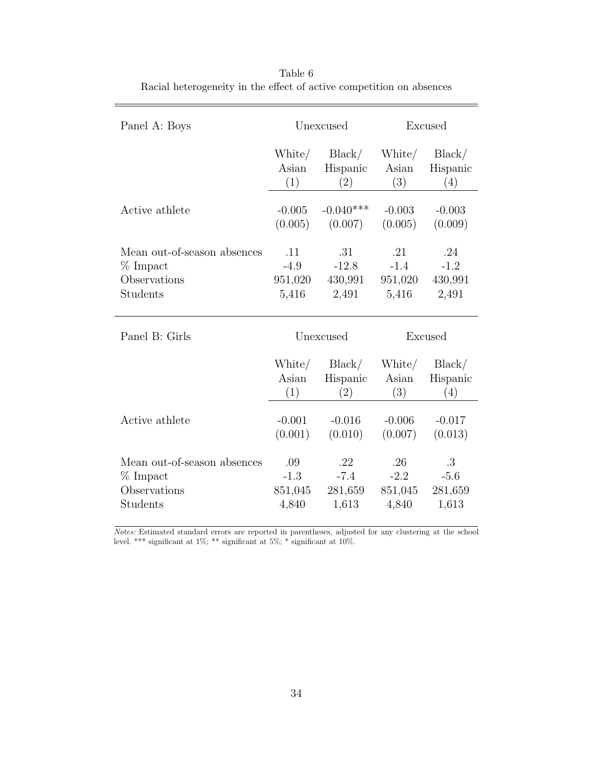<span id="page-35-0"></span>

| Panel A: Boys               |           | Unexcused   |          | Excused  |
|-----------------------------|-----------|-------------|----------|----------|
|                             | White/    | Black/      | White/   | Black/   |
|                             | Asian     | Hispanic    | Asian    | Hispanic |
|                             | (1)       | (2)         | (3)      | (4)      |
| Active athlete              | $-0.005$  | $-0.040***$ | $-0.003$ | $-0.003$ |
|                             | (0.005)   | (0.007)     | (0.005)  | (0.009)  |
| Mean out-of-season absences | .11       | .31         | .21      | .24      |
| $%$ Impact                  | $-4.9$    | $-12.8$     | $-1.4$   | $-1.2$   |
| Observations                | 951,020   | 430,991     | 951,020  | 430,991  |
| Students                    | 5,416     | 2,491       | 5,416    | 2,491    |
| Panel B: Girls              | Unexcused |             |          | Excused  |
|                             | White/    | Black/      | White/   | Black/   |
|                             | Asian     | Hispanic    | Asian    | Hispanic |
|                             | (1)       | $^{'}2)$    | (3)      | (4)      |
| Active athlete              | $-0.001$  | $-0.016$    | $-0.006$ | $-0.017$ |
|                             | (0.001)   | (0.010)     | (0.007)  | (0.013)  |
|                             |           |             |          |          |

Table 6 Racial heterogeneity in the effect of active competition on absences

Notes: Estimated standard errors are reported in parentheses, adjusted for any clustering at the school level. \*\*\* significant at  $1\%$ ; \*\* significant at  $5\%$ ; \* significant at  $10\%$ .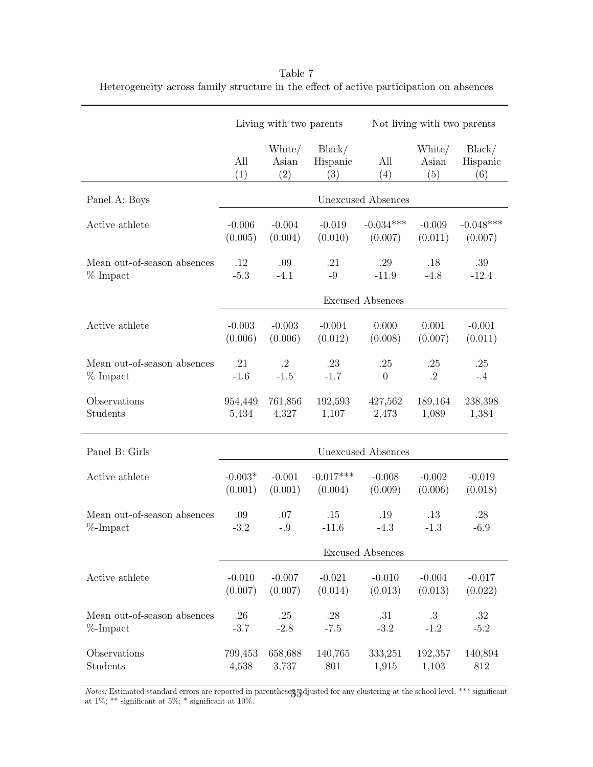|                             | Living with two parents |                        |                           | Not living with two parents |                        |                           |  |
|-----------------------------|-------------------------|------------------------|---------------------------|-----------------------------|------------------------|---------------------------|--|
|                             | All<br>(1)              | White/<br>Asian<br>(2) | Black/<br>Hispanic<br>(3) | All<br>(4)                  | White/<br>Asian<br>(5) | Black/<br>Hispanic<br>(6) |  |
| Panel A: Boys               |                         |                        |                           | Unexcused Absences          |                        |                           |  |
| Active athlete              | $-0.006$                | $-0.004$               | $-0.019$                  | $-0.034***$                 | $-0.009$               | $-0.048***$               |  |
|                             | (0.005)                 | (0.004)                | (0.010)                   | (0.007)                     | (0.011)                | (0.007)                   |  |
| Mean out-of-season absences | .12                     | .09                    | .21                       | .29                         | .18                    | .39                       |  |
| $%$ Impact                  | $-5.3$                  | $-4.1$                 | $-9$                      | $-11.9$                     | $-4.8$                 | $-12.4$                   |  |
|                             |                         |                        |                           | <b>Excused Absences</b>     |                        |                           |  |
| Active athlete              | $-0.003$                | $-0.003$               | $-0.004$                  | 0.000                       | 0.001                  | $-0.001$                  |  |
|                             | (0.006)                 | (0.006)                | (0.012)                   | (0.008)                     | (0.007)                | (0.011)                   |  |
| Mean out-of-season absences | .21                     | $\cdot$ <sup>2</sup>   | .23                       | .25                         | .25                    | .25                       |  |
| $%$ Impact                  | $-1.6$                  | $-1.5$                 | $-1.7$                    | $\overline{0}$              | .2                     | $-.4$                     |  |
| Observations                | 954,449                 | 761,856                | 192,593                   | 427,562                     | 189,164                | 238,398                   |  |
| Students                    | 5,434                   | 4,327                  | 1,107                     | 2,473                       | 1,089                  | 1,384                     |  |
| Panel B: Girls              | Unexcused Absences      |                        |                           |                             |                        |                           |  |
| Active athlete              | $-0.003*$               | $-0.001$               | $-0.017***$               | $-0.008$                    | $-0.002$               | $-0.019$                  |  |
|                             | (0.001)                 | (0.001)                | (0.004)                   | (0.009)                     | (0.006)                | (0.018)                   |  |
| Mean out-of-season absences | .09                     | .07                    | .15                       | .19                         | .13                    | .28                       |  |
| $\%$ -Impact                | $-3.2$                  | $-.9$                  | $-11.6$                   | $-4.3$                      | $-1.3$                 | $-6.9$                    |  |
|                             |                         |                        |                           | <b>Excused Absences</b>     |                        |                           |  |
| Active athlete              | $-0.010$                | $-0.007$               | $-0.021$                  | $-0.010$                    | $-0.004$               | $-0.017$                  |  |
|                             | (0.007)                 | (0.007)                | (0.014)                   | (0.013)                     | (0.013)                | (0.022)                   |  |
| Mean out-of-season absences | .26                     | .25                    | $.28\,$                   | .31                         | .3                     | .32                       |  |
| $%$ -Impact                 | $-3.7$                  | $-2.8$                 | $-7.5$                    | $-3.2$                      | $-1.2$                 | $-5.2$                    |  |
| Observations                | 799,453                 | 658,688                | 140,765                   | 333,251                     | 192,357                | 140,894                   |  |
| Students                    | 4,538                   | 3,737                  | 801                       | 1,915                       | 1,103                  | 812                       |  |

<span id="page-36-0"></span>Table 7 Heterogeneity across family structure in the effect of active participation on absences

Notes: Estimated standard errors are reported in parentheses, adjusted for any clustering at the school level. \*\*\* significant *Notes:* Estimated standard errors are reported in parenthese**3**.5 at 1%; \*\* significant at 10%.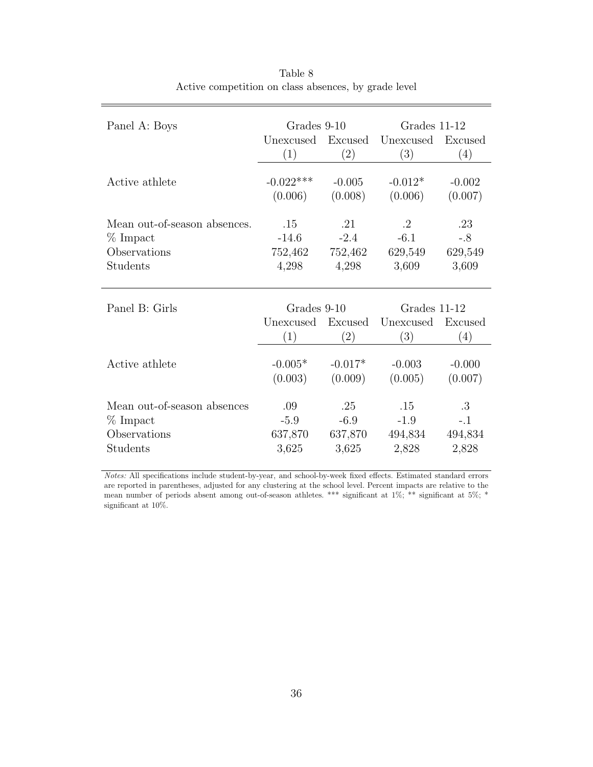<span id="page-37-0"></span>

| Panel A: Boys                | Grades 9-10      |                | Grades 11-12     |                |  |
|------------------------------|------------------|----------------|------------------|----------------|--|
|                              | Unexcused<br>(1) | Excused<br>(2) | Unexcused<br>(3) | Excused<br>(4) |  |
|                              |                  |                |                  |                |  |
| Active athlete               | $-0.022***$      | $-0.005$       | $-0.012*$        | $-0.002$       |  |
|                              | (0.006)          | (0.008)        | (0.006)          | (0.007)        |  |
| Mean out-of-season absences. | .15              | .21            | .2               | .23            |  |
| % Impact                     | $-14.6$          | $-2.4$         | $-6.1$           | $-.8$          |  |
| Observations                 | 752,462          | 752,462        | 629,549          | 629,549        |  |
| Students                     | 4,298            | 4,298          | 3,609            | 3,609          |  |
|                              |                  |                |                  |                |  |
| Panel B: Girls               | Grades 9-10      |                | Grades 11-12     |                |  |
|                              | Unexcused        | Excused        | Unexcused        | Excused        |  |
|                              | (1)              | (2)            | (3)              | (4)            |  |
| Active athlete               | $-0.005*$        | $-0.017*$      | $-0.003$         | $-0.000$       |  |
|                              | (0.003)          | (0.009)        | (0.005)          | (0.007)        |  |
|                              |                  |                |                  |                |  |
| Mean out-of-season absences  | .09              | .25            | .15              | .3             |  |
| $%$ Impact                   | $-5.9$           | $-6.9$         | $-1.9$           | $-.1$          |  |
| Observations                 | 637,870          | 637,870        | 494,834          | 494,834        |  |
| Students                     | 3,625            | 3,625          | 2,828            | 2,828          |  |

Table 8 Active competition on class absences, by grade level

Notes: All specifications include student-by-year, and school-by-week fixed effects. Estimated standard errors are reported in parentheses, adjusted for any clustering at the school level. Percent impacts are relative to the mean number of periods absent among out-of-season athletes. \*\*\* significant at  $1\%$ ; \*\* significant at  $5\%$ ; \* significant at  $10\%.$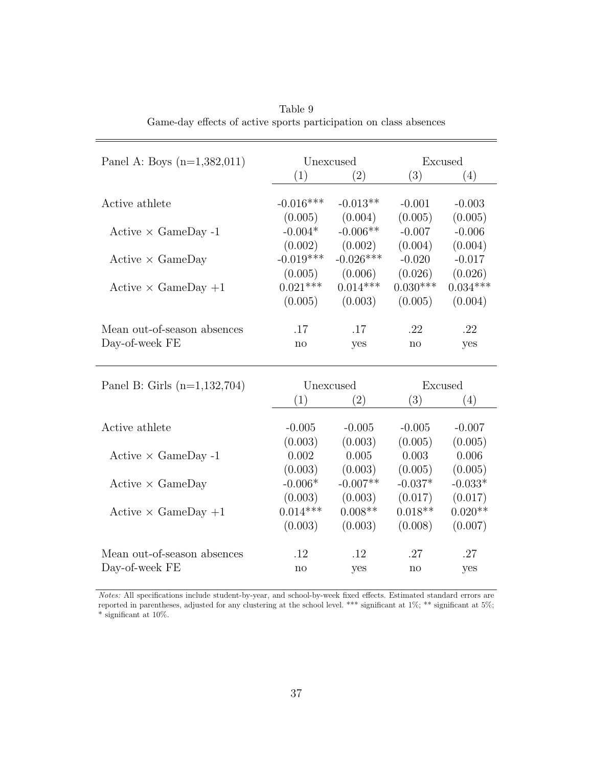<span id="page-38-0"></span>

| Panel A: Boys $(n=1,382,011)$  | Unexcused    |             | Excused    |            |  |
|--------------------------------|--------------|-------------|------------|------------|--|
|                                | (1)          | (2)         | (3)        | (4)        |  |
|                                |              |             |            |            |  |
| Active athlete                 | $-0.016***$  | $-0.013**$  | $-0.001$   | $-0.003$   |  |
|                                | (0.005)      | (0.004)     | (0.005)    | (0.005)    |  |
| Active $\times$ GameDay -1     | $-0.004*$    | $-0.006**$  | $-0.007$   | $-0.006$   |  |
|                                | (0.002)      | (0.002)     | (0.004)    | (0.004)    |  |
| $Active \times GameDay$        | $-0.019***$  | $-0.026***$ | $-0.020$   | $-0.017$   |  |
|                                | (0.005)      | (0.006)     | (0.026)    | (0.026)    |  |
| Active $\times$ GameDay $+1$   | $0.021***$   | $0.014***$  | $0.030***$ | $0.034***$ |  |
|                                | (0.005)      | (0.003)     | (0.005)    | (0.004)    |  |
|                                |              |             |            |            |  |
| Mean out-of-season absences    | .17          | .17         | .22        | .22        |  |
| Day-of-week FE                 | $\mathbf{n}$ | yes         | no         | yes        |  |
|                                |              |             |            |            |  |
|                                |              |             |            |            |  |
| Panel B: Girls $(n=1,132,704)$ | Unexcused    |             | Excused    |            |  |
|                                | (1)          | (2)         | (3)        | (4)        |  |
| Active athlete                 | $-0.005$     | $-0.005$    | $-0.005$   | $-0.007$   |  |
|                                | (0.003)      | (0.003)     | (0.005)    | (0.005)    |  |
| Active $\times$ GameDay -1     | 0.002        | 0.005       | 0.003      | 0.006      |  |
|                                | (0.003)      | (0.003)     | (0.005)    | (0.005)    |  |
| $Active \times GameDay$        | $-0.006*$    | $-0.007**$  | $-0.037*$  | $-0.033*$  |  |
|                                | (0.003)      | (0.003)     | (0.017)    | (0.017)    |  |
| Active $\times$ GameDay $+1$   | $0.014***$   | $0.008**$   | $0.018**$  | $0.020**$  |  |
|                                | (0.003)      | (0.003)     | (0.008)    | (0.007)    |  |
|                                |              |             |            |            |  |
| Mean out-of-season absences    | .12          | .12         | .27        | .27        |  |
| Day-of-week FE                 | no           | yes         | no         | yes        |  |

Table 9 Game-day effects of active sports participation on class absences

Notes: All specifications include student-by-year, and school-by-week fixed effects. Estimated standard errors are reported in parentheses, adjusted for any clustering at the school level. \*\*\* significant at 1%; \*\* significant at 5%;  $^*$  significant at 10%.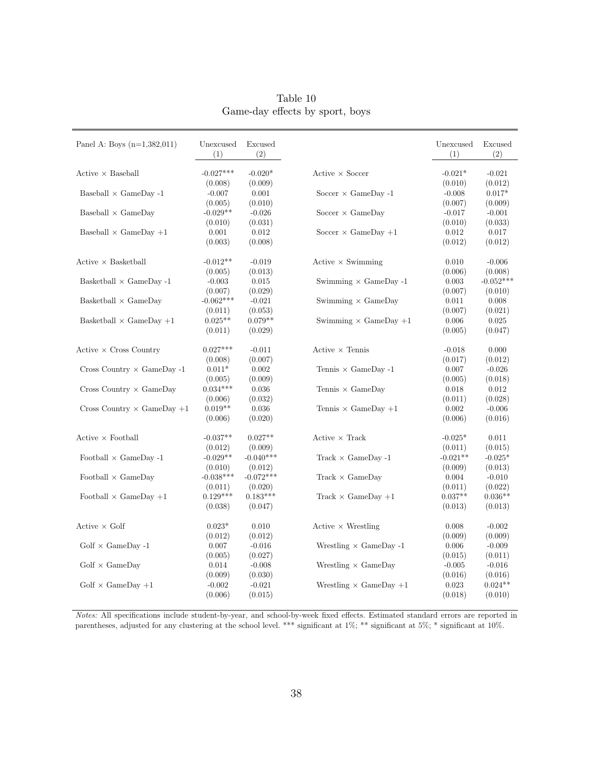<span id="page-39-0"></span>

| Panel A: Boys $(n=1,382,011)$               | Unexcused<br>(1) | Excused<br>(2) |                                         | Unexcused<br>(1) | Excused<br>(2) |
|---------------------------------------------|------------------|----------------|-----------------------------------------|------------------|----------------|
| $Active \times Baseball$                    | $-0.027***$      | $-0.020*$      | $Active \times Score$                   | $-0.021*$        | $-0.021$       |
|                                             | (0.008)          | (0.009)        |                                         | (0.010)          | (0.012)        |
| Baseball $\times$ GameDay -1                | $-0.007$         | 0.001          | Soccer $\times$ GameDay -1              | $-0.008$         | $0.017*$       |
|                                             | (0.005)          | (0.010)        |                                         | (0.007)          | (0.009)        |
| Baseball $\times$ GameDay                   | $-0.029**$       | $-0.026$       | Soccer $\times$ GameDay                 | $-0.017$         | $-0.001$       |
|                                             | (0.010)          | (0.031)        |                                         | (0.010)          | (0.033)        |
| Baseball $\times$ GameDay $+1$              | 0.001            | 0.012          | Soccer $\times$ GameDay +1              | 0.012            | 0.017          |
|                                             | (0.003)          | (0.008)        |                                         | (0.012)          | (0.012)        |
| $\text{Active} \times \text{Basketball}$    | $-0.012**$       | $-0.019$       | $Active \times Swimming$                | 0.010            | $-0.006$       |
|                                             | (0.005)          | (0.013)        |                                         | (0.006)          | (0.008)        |
| Basketball $\times$ GameDay -1              | $-0.003$         | 0.015          | Swimming $\times$ GameDay -1            | 0.003            | $-0.052***$    |
|                                             | (0.007)          | (0.029)        |                                         | (0.007)          | (0.010)        |
| Basketball $\times$ GameDay                 | $-0.062***$      | $-0.021$       | Swimming $\times$ GameDay               | 0.011            | 0.008          |
|                                             | (0.011)          | (0.053)        |                                         | (0.007)          | (0.021)        |
| Basketball $\times$ GameDay $+1$            | $0.025**$        | $0.079**$      | Swimming $\times$ GameDay $+1$          | 0.006            | 0.025          |
|                                             | (0.011)          | (0.029)        |                                         | (0.005)          | (0.047)        |
| $\text{Active} \times \text{Cross}$ Country | $0.027***$       | $-0.011$       | Active $\times$ Tennis                  | $-0.018$         | 0.000          |
|                                             | (0.008)          | (0.007)        |                                         | (0.017)          | (0.012)        |
| Cross Country $\times$ GameDay -1           | $0.011*$         | 0.002          | Tennis $\times$ GameDay -1              | 0.007            | $-0.026$       |
|                                             | (0.005)          | (0.009)        |                                         | (0.005)          | (0.018)        |
| Cross Country $\times$ GameDay              | $0.034***$       | 0.036          | Tennis $\times$ GameDay                 | 0.018            | 0.012          |
|                                             | (0.006)          | (0.032)        |                                         | (0.011)          | (0.028)        |
| Cross Country $\times$ GameDay +1           | $0.019**$        | 0.036          | Tennis $\times$ GameDay +1              | 0.002            | $-0.006$       |
|                                             | (0.006)          | (0.020)        |                                         | (0.006)          | (0.016)        |
| $Active \times Football$                    | $-0.037**$       | $0.027**$      | $Active \times Track$                   | $-0.025*$        | 0.011          |
|                                             | (0.012)          | (0.009)        |                                         | (0.011)          | (0.015)        |
| Football $\times$ GameDay -1                | $-0.029**$       | $-0.040***$    | Track $\times$ GameDay -1               | $-0.021**$       | $-0.025*$      |
|                                             | (0.010)          | (0.012)        |                                         | (0.009)          | (0.013)        |
| Football $\times$ GameDay                   | $-0.038***$      | $-0.072***$    | $Track \times GameDay$                  | 0.004            | $-0.010$       |
|                                             | (0.011)          | (0.020)        |                                         | (0.011)          | (0.022)        |
| Football $\times$ GameDay +1                | $0.129***$       | $0.183***$     | Track $\times$ GameDay +1               | $0.037**$        | $0.036**$      |
|                                             | (0.038)          | (0.047)        |                                         | (0.013)          | (0.013)        |
| $\text{Active} \times \text{Golf}$          | $0.023*$         | 0.010          | $\text{Active} \times \text{Wrestling}$ | 0.008            | $-0.002$       |
|                                             | (0.012)          | (0.012)        |                                         | (0.009)          | (0.009)        |
| $Golf \times GameDay -1$                    | 0.007            | $-0.016$       | Wrestling $\times$ GameDay -1           | 0.006            | $-0.009$       |
|                                             | (0.005)          | (0.027)        |                                         | (0.015)          | (0.011)        |
| $Golf \times GameDay$                       | 0.014            | $-0.008$       | Wrestling $\times$ GameDay              | $-0.005$         | $-0.016$       |
|                                             | (0.009)          | (0.030)        |                                         | (0.016)          | (0.016)        |
| $Golf \times GameDay +1$                    | $-0.002$         | $-0.021$       | Wrestling $\times$ GameDay +1           | 0.023            | $0.024**$      |
|                                             | (0.006)          | (0.015)        |                                         | (0.018)          | (0.010)        |

Table 10 Game-day effects by sport, boys

Notes: All specifications include student-by-year, and school-by-week fixed effects. Estimated standard errors are reported in parentheses, adjusted for any clustering at the school level. \*\*\* significant at 1%; \*\* significant at 5%; \* significant at 10%.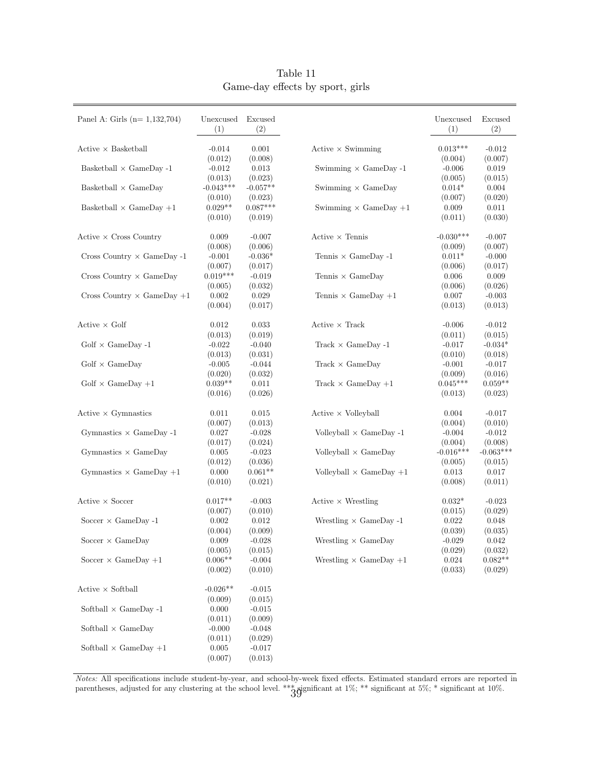<span id="page-40-0"></span>

| Panel A: Girls ( $n=1,132,704$ )  | Unexcused<br>(1)                | Excused<br>(2)                   |                                      | Unexcused<br>(1)            | Excused<br>(2)              |
|-----------------------------------|---------------------------------|----------------------------------|--------------------------------------|-----------------------------|-----------------------------|
| $Active \times Basketball$        | $-0.014$<br>(0.012)             | 0.001                            | $Active \times Swimming$             | $0.013***$                  | $-0.012$                    |
| Basketball $\times$ GameDay -1    | $-0.012$                        | (0.008)<br>0.013                 | Swimming $\times$ GameDay -1         | (0.004)<br>$-0.006$         | (0.007)<br>0.019            |
| Basketball $\times$ GameDay       | (0.013)<br>$-0.043***$          | (0.023)<br>$-0.057**$            | Swimming $\times$ GameDay            | (0.005)<br>$0.014*$         | (0.015)<br>0.004            |
| Basketball $\times$ GameDay +1    | (0.010)<br>$0.029**$<br>(0.010) | (0.023)<br>$0.087***$<br>(0.019) | Swimming $\times$ GameDay +1         | (0.007)<br>0.009<br>(0.011) | (0.020)<br>0.011<br>(0.030) |
| $Active \times Cross Country$     | 0.009                           | $-0.007$                         | Active $\times$ Tennis               | $-0.030***$                 | $-0.007$                    |
| Cross Country $\times$ GameDay -1 | (0.008)<br>$-0.001$             | (0.006)<br>$-0.036*$             | Tennis $\times$ GameDay -1           | (0.009)<br>$0.011*$         | (0.007)<br>$-0.000$         |
| Cross Country $\times$ GameDay    | (0.007)<br>$0.019***$           | (0.017)<br>$-0.019$              | Tennis $\times$ GameDay              | (0.006)<br>0.006            | (0.017)<br>0.009            |
| Cross Country $\times$ GameDay +1 | (0.005)<br>0.002                | (0.032)<br>0.029                 | Tennis $\times$ GameDay +1           | (0.006)<br>0.007            | (0.026)<br>$-0.003$         |
| $Active \times Golf$              | (0.004)<br>0.012                | (0.017)<br>0.033                 | Active $\times$ Track                | (0.013)<br>$-0.006$         | (0.013)<br>$-0.012$         |
| Golf $\times$ GameDay -1          | (0.013)<br>$-0.022$             | (0.019)<br>$-0.040$              | Track $\times$ GameDay -1            | (0.011)<br>$-0.017$         | (0.015)<br>$-0.034*$        |
| $Golf \times GameDay$             | (0.013)<br>$-0.005$             | (0.031)<br>$-0.044$              | $\text{Track} \times \text{GameDay}$ | (0.010)<br>$-0.001$         | (0.018)<br>$-0.017$         |
| $Golf \times GameDay +1$          | (0.020)<br>$0.039**$            | (0.032)<br>0.011                 | Track $\times$ GameDay +1            | (0.009)<br>$0.045***$       | (0.016)<br>$0.059**$        |
|                                   | (0.016)                         | (0.026)                          |                                      | (0.013)                     | (0.023)                     |
| $Active \times Gymnastics$        | 0.011<br>(0.007)                | 0.015<br>(0.013)                 | $Active \times^\text{Volleyball}$    | 0.004<br>(0.004)            | $-0.017$<br>(0.010)         |
| Gymnastics $\times$ GameDay -1    | 0.027<br>(0.017)                | $-0.028$<br>(0.024)              | Volleyball $\times$ GameDay -1       | $-0.004$<br>(0.004)         | $-0.012$<br>(0.008)         |
| Gymnastics $\times$ GameDay       | 0.005<br>(0.012)                | $-0.023$<br>(0.036)              | Volleyball $\times$ GameDay          | $-0.016***$<br>(0.005)      | $-0.063***$<br>(0.015)      |
| Gymnastics $\times$ GameDay +1    | 0.000<br>(0.010)                | $0.061**$<br>(0.021)             | Volleyball $\times$ GameDay $+1$     | 0.013<br>(0.008)            | 0.017<br>(0.011)            |
| $Active \times Score$             | $0.017**$<br>(0.007)            | $-0.003$<br>(0.010)              | Active $\times$ Wrestling            | $0.032*$<br>(0.015)         | $-0.023$<br>(0.029)         |
| Soccer $\times$ GameDay -1        | 0.002<br>(0.004)                | 0.012<br>(0.009)                 | Wrestling $\times$ GameDay -1        | 0.022<br>(0.039)            | 0.048<br>(0.035)            |
| Soccer $\times$ GameDay           | 0.009<br>(0.005)                | $-0.028$<br>(0.015)              | Wrestling $\times$ GameDay           | $-0.029$<br>(0.029)         | 0.042<br>(0.032)            |
| Soccer $\times$ GameDay +1        | $0.006**$<br>(0.002)            | $-0.004$<br>(0.010)              | Wrestling $\times$ GameDay +1        | $\,0.024\,$<br>(0.033)      | $0.082**$<br>(0.029)        |
| $Active \times Softball$          | $-0.026**$<br>(0.009)           | $-0.015$<br>(0.015)              |                                      |                             |                             |
| Softball $\times$ GameDay -1      | 0.000<br>(0.011)                | $-0.015$<br>(0.009)              |                                      |                             |                             |
| Softball $\times$ GameDay         | $-0.000$<br>(0.011)             | $-0.048$<br>(0.029)              |                                      |                             |                             |
| Softball $\times$ GameDay +1      | 0.005<br>(0.007)                | $-0.017$<br>(0.013)              |                                      |                             |                             |

Table 11 Game-day effects by sport, girls

Notes: All specifications include student-by-year, and school-by-week fixed effects. Estimated standard errors are reported in parentheses, adjusted for any clustering at the school level. \*\*\*  $3\overline{9}$  gianificant at 1%; \*\* significant at  $10\%$ .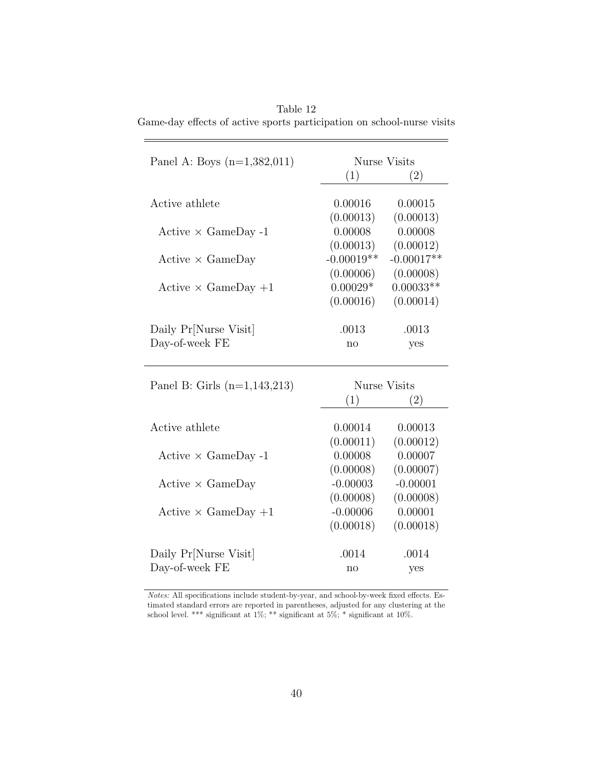<span id="page-41-0"></span>Table 12 Game-day effects of active sports participation on school-nurse visits

| Panel A: Boys $(n=1,382,011)$                       | Nurse Visits |                   |  |  |
|-----------------------------------------------------|--------------|-------------------|--|--|
|                                                     | (1)          | (2)               |  |  |
|                                                     |              |                   |  |  |
| Active athlete                                      | 0.00016      | 0.00015           |  |  |
|                                                     | (0.00013)    | (0.00013)         |  |  |
| Active $\times$ GameDay -1                          | 0.00008      | 0.00008           |  |  |
|                                                     | (0.00013)    | (0.00012)         |  |  |
| $Active \times GameDay$                             | $-0.00019**$ | $-0.00017**$      |  |  |
|                                                     | (0.00006)    | (0.00008)         |  |  |
| Active $\times$ GameDay $+1$                        | $0.00029*$   | $0.00033**$       |  |  |
|                                                     | (0.00016)    | (0.00014)         |  |  |
|                                                     |              |                   |  |  |
| Daily Pr[Nurse Visit]                               | .0013        | .0013             |  |  |
| Day-of-week FE                                      | $\mathbf{n}$ | yes               |  |  |
|                                                     |              |                   |  |  |
| Panel B: Girls $(n=1,143,213)$                      |              | Nurse Visits      |  |  |
|                                                     | (1)          | $\left( 2\right)$ |  |  |
| Active athlete                                      | 0.00014      | 0.00013           |  |  |
|                                                     | (0.00011)    | (0.00012)         |  |  |
| Active $\times$ GameDay -1                          | 0.00008      | 0.00007           |  |  |
|                                                     | (0.00008)    | (0.00007)         |  |  |
| $Active \times GameDay$                             | $-0.00003$   | $-0.00001$        |  |  |
|                                                     | (0.00008)    | (0.00008)         |  |  |
| Active $\times$ GameDay +1                          | $-0.00006$   | 0.00001           |  |  |
|                                                     | (0.00018)    | (0.00018)         |  |  |
|                                                     |              |                   |  |  |
| Daily Pr <sup>[Nurse Visit]</sup><br>Day-of-week FE | .0014        | .0014             |  |  |
|                                                     | no           | yes               |  |  |

Notes: All specifications include student-by-year, and school-by-week fixed effects. Estimated standard errors are reported in parentheses, adjusted for any clustering at the school level. \*\*\* significant at  $1\%$ ; \*\* significant at  $5\%$ ; \* significant at  $10\%$ .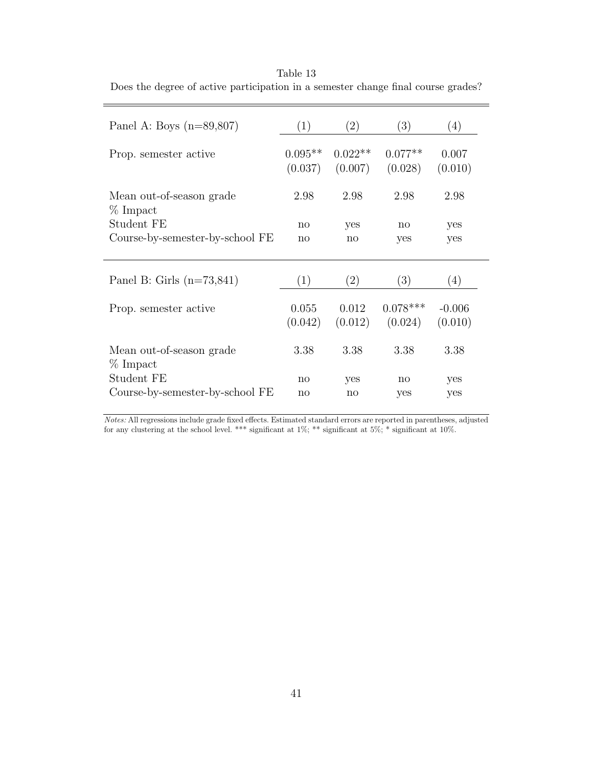| Panel A: Boys $(n=89,807)$           | (1)                  | $\left( 2\right)$    | (3)                   | (4)                 |
|--------------------------------------|----------------------|----------------------|-----------------------|---------------------|
| Prop. semester active                | $0.095**$<br>(0.037) | $0.022**$<br>(0.007) | $0.077**$<br>(0.028)  | 0.007<br>(0.010)    |
| Mean out-of-season grade<br>% Impact | 2.98                 | 2.98                 | 2.98                  | 2.98                |
| Student FE                           | $\mathbf{n}$         | yes                  | $\mathbf{n}$          | yes                 |
| Course-by-semester-by-school FE      | $\mathbf{n}$         | $\mathbf{n}$         | yes                   | yes                 |
| Panel B: Girls $(n=73,841)$          | (1)                  | $\left( 2\right)$    | $\left( 3\right)$     | (4)                 |
| Prop. semester active                | 0.055<br>(0.042)     | 0.012<br>(0.012)     | $0.078***$<br>(0.024) | $-0.006$<br>(0.010) |
| Mean out-of-season grade<br>% Impact | 3.38                 | 3.38                 | 3.38                  | 3.38                |
| Student FE                           | $\mathbf{n}$         | yes                  | $\mathbf{n}$          | yes                 |
| Course-by-semester-by-school FE      | $\mathbf{n}$         | $\mathbf{n}$         | yes                   | yes                 |

<span id="page-42-0"></span>Table 13 Does the degree of active participation in a semester change final course grades?

Notes: All regressions include grade fixed effects. Estimated standard errors are reported in parentheses, adjusted for any clustering at the school level. \*\*\* significant at  $1\%$ ; \*\* significant at  $5\%$ ; \* significant at  $10\%$ .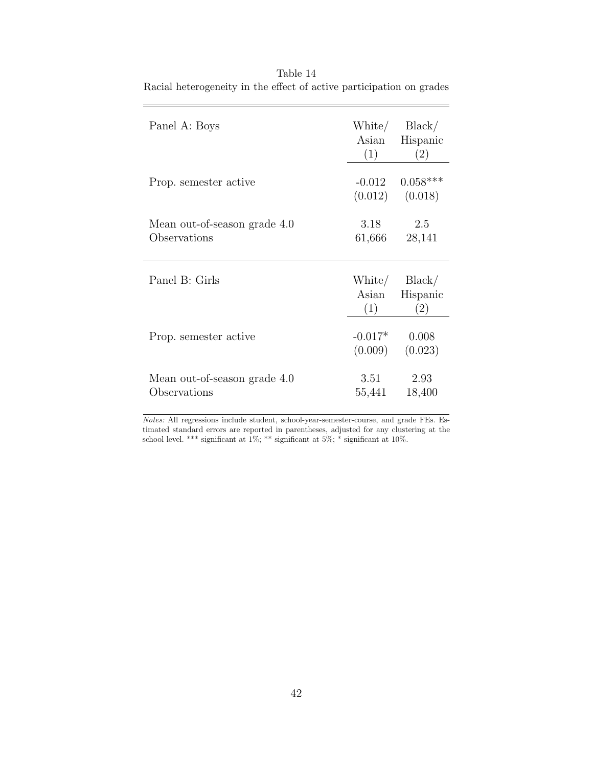| Panel A: Boys                                | Asian<br>(1)         | White/ Black/<br>Hispanic<br>(2)                 |
|----------------------------------------------|----------------------|--------------------------------------------------|
| Prop. semester active                        |                      | $-0.012$ $0.058***$<br>$(0.012)$ $(0.018)$       |
| Mean out-of-season grade 4.0<br>Observations | 3.18<br>61,666       | 2.5<br>28,141                                    |
| Panel B: Girls                               | Asian<br>(1)         | White/ $Black/$<br>Hispanic<br>$\left( 2\right)$ |
| Prop. semester active                        | $-0.017*$<br>(0.009) | 0.008<br>(0.023)                                 |
| Mean out-of-season grade 4.0<br>Observations | 3.51<br>55,441       | 2.93<br>18,400                                   |

<span id="page-43-0"></span>Table 14 Racial heterogeneity in the effect of active participation on grades

 $=$ 

 $Notes:$  All regressions include student, school-year-semester-course, and grade FEs. Estimated standard errors are reported in parentheses, adjusted for any clustering at the school level. \*\*\* significant at  $1\%$ ; \*\* significant at  $5\%$ ; \* significant at 10%.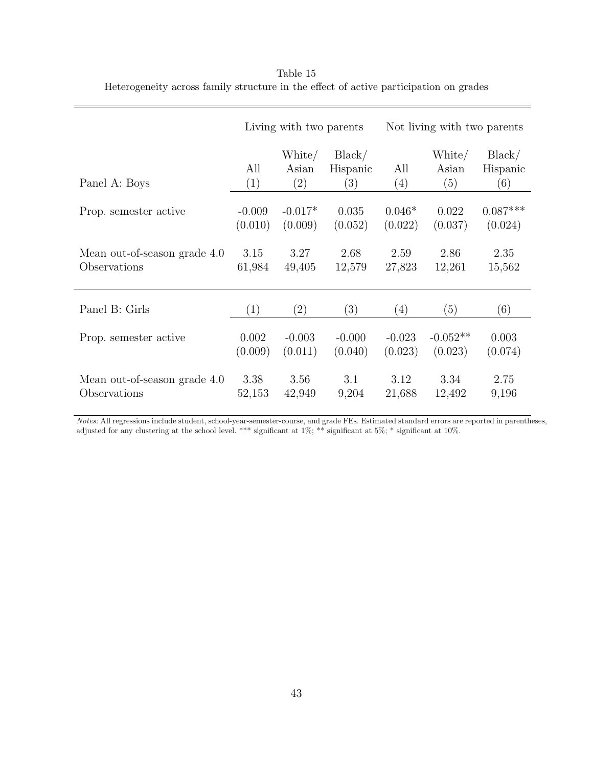|                              | Living with two parents |                        | Not living with two parents |            |                        |                           |
|------------------------------|-------------------------|------------------------|-----------------------------|------------|------------------------|---------------------------|
| Panel A: Boys                | All<br>(1)              | White/<br>Asian<br>(2) | Black/<br>Hispanic<br>(3)   | All<br>(4) | White/<br>Asian<br>(5) | Black/<br>Hispanic<br>(6) |
| Prop. semester active        | $-0.009$                | $-0.017*$              | 0.035                       | $0.046*$   | 0.022                  | $0.087***$                |
|                              | (0.010)                 | (0.009)                | (0.052)                     | (0.022)    | (0.037)                | (0.024)                   |
| Mean out-of-season grade 4.0 | 3.15                    | 3.27                   | 2.68                        | 2.59       | 2.86                   | 2.35                      |
| Observations                 | 61,984                  | 49,405                 | 12,579                      | 27,823     | 12,261                 | 15,562                    |
| Panel B: Girls               | (1)                     | (2)                    | (3)                         | (4)        | (5)                    | (6)                       |
| Prop. semester active        | 0.002                   | $-0.003$               | $-0.000$                    | $-0.023$   | $-0.052**$             | 0.003                     |
|                              | (0.009)                 | (0.011)                | (0.040)                     | (0.023)    | (0.023)                | (0.074)                   |
| Mean out-of-season grade 4.0 | 3.38                    | 3.56                   | 3.1                         | 3.12       | 3.34                   | 2.75                      |
| Observations                 | 52,153                  | 42,949                 | 9,204                       | 21,688     | 12,492                 | 9,196                     |

<span id="page-44-0"></span>Table 15 Heterogeneity across family structure in the effect of active participation on grades

Notes: All regressions include student, school-year-semester-course, and grade FEs. Estimated standard errors are reported in parentheses, adjusted for any clustering at the school level. \*\*\* significant at  $1\%$ ; \*\* significant at 5%; \* significant at 10%.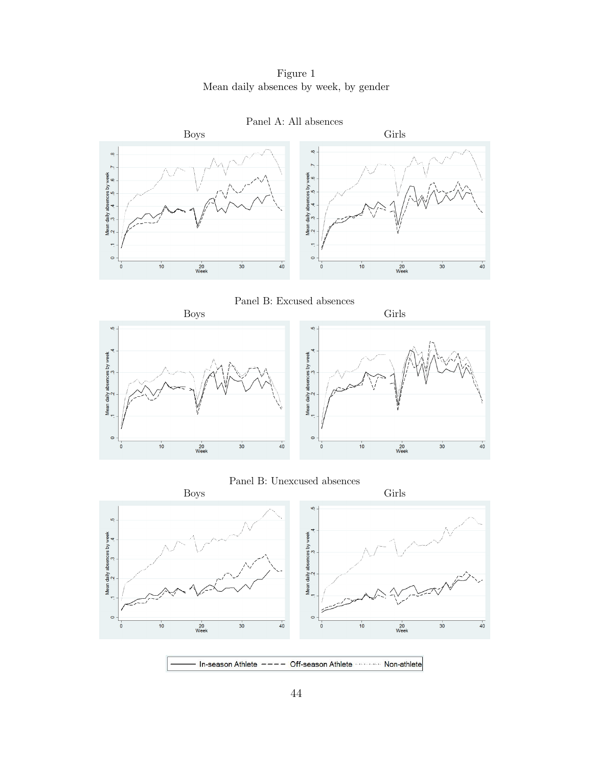### Figure 1 Mean daily absences by week, by gender

<span id="page-45-0"></span>











In-season Athlete ---- Off-season Athlete ------------ Non-athlete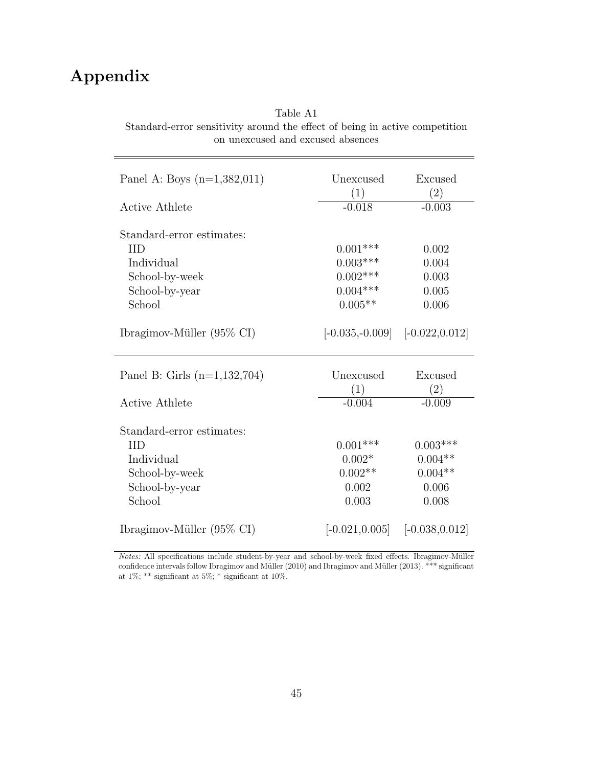# Appendix

L

#### Table A1

Standard-error sensitivity around the effect of being in active competition on unexcused and excused absences

| Panel A: Boys $(n=1,382,011)$                                                                       | Unexcused<br>(1)                                      | Excused<br>(2)                                         |
|-----------------------------------------------------------------------------------------------------|-------------------------------------------------------|--------------------------------------------------------|
| <b>Active Athlete</b>                                                                               | $-0.018$                                              | $-0.003$                                               |
| Standard-error estimates:<br><b>IID</b>                                                             |                                                       |                                                        |
| Individual                                                                                          | $0.001***$                                            | 0.002<br>0.004                                         |
|                                                                                                     | $0.003***$                                            |                                                        |
| School-by-week                                                                                      | $0.002***$                                            | 0.003                                                  |
| School-by-year                                                                                      | $0.004***$                                            | 0.005                                                  |
| School                                                                                              | $0.005**$                                             | 0.006                                                  |
| Ibragimov-Müller $(95\% \text{ CI})$                                                                | $[-0.035, -0.009]$ $[-0.022, 0.012]$                  |                                                        |
| Panel B: Girls $(n=1, 132, 704)$                                                                    | Unexcused<br>(1)                                      | Excused<br>(2)                                         |
| <b>Active Athlete</b>                                                                               | $-0.004$                                              | $-0.009$                                               |
| Standard-error estimates:<br><b>IID</b><br>Individual<br>School-by-week<br>School-by-year<br>School | $0.001***$<br>$0.002*$<br>$0.002**$<br>0.002<br>0.003 | $0.003***$<br>$0.004**$<br>$0.004**$<br>0.006<br>0.008 |
| Ibragimov-Müller $(95\% \text{ CI})$                                                                | $[-0.021, 0.005]$ $[-0.038, 0.012]$                   |                                                        |

Notes: All specifications include student-by-year and school-by-week fixed effects. Ibragimov-Müller confidence intervals follow Ibragimov and Müller [\(2010\)](#page-27-11) and Ibragimov and Müller [\(2013\)](#page-27-12). \*\*\* significant at 1%; \*\* significant at 5%; \* significant at 10%.